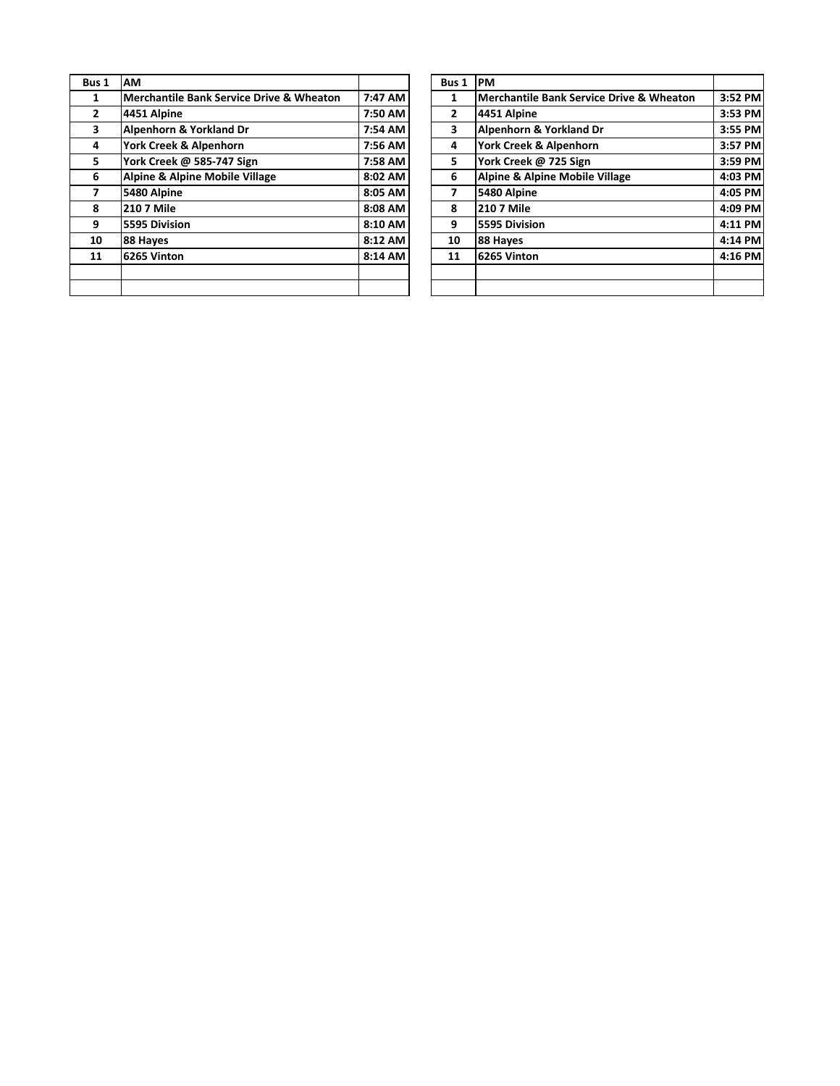| Bus 1        | AM                                                  |         | Bus 1        | PM  |
|--------------|-----------------------------------------------------|---------|--------------|-----|
| 1            | <b>Merchantile Bank Service Drive &amp; Wheaton</b> | 7:47 AM | 1            | Me  |
| $\mathbf{2}$ | 4451 Alpine                                         | 7:50 AM | $\mathbf{2}$ | 445 |
| 3            | Alpenhorn & Yorkland Dr                             | 7:54 AM | 3            | Alp |
| 4            | York Creek & Alpenhorn                              | 7:56 AM | 4            | Yor |
| 5            | York Creek @ 585-747 Sign                           | 7:58 AM | 5.           | Yor |
| 6            | <b>Alpine &amp; Alpine Mobile Village</b>           | 8:02 AM | 6            | Alp |
| 7            | 5480 Alpine                                         | 8:05 AM | 7            | 548 |
| 8            | <b>210 7 Mile</b>                                   | 8:08 AM | 8            | 210 |
| 9            | 5595 Division                                       | 8:10 AM | 9            | 559 |
| 10           | 88 Hayes                                            | 8:12 AM | 10           | 88  |
| 11           | 6265 Vinton                                         | 8:14 AM | 11           | 626 |
|              |                                                     |         |              |     |
|              |                                                     |         |              |     |

| us 1           | <b>AM</b>                                           |         | Bus 1          | <b>PM</b>                                           |         |
|----------------|-----------------------------------------------------|---------|----------------|-----------------------------------------------------|---------|
| 1              | <b>Merchantile Bank Service Drive &amp; Wheaton</b> | 7:47 AM | 1              | <b>Merchantile Bank Service Drive &amp; Wheaton</b> | 3:52 PM |
| $\overline{2}$ | 4451 Alpine                                         | 7:50 AM | $\overline{2}$ | 4451 Alpine                                         | 3:53 PM |
| 3              | Alpenhorn & Yorkland Dr                             | 7:54 AM | 3              | Alpenhorn & Yorkland Dr                             | 3:55 PM |
| 4              | York Creek & Alpenhorn                              | 7:56 AM | 4              | York Creek & Alpenhorn                              | 3:57 PM |
| 5              | York Creek @ 585-747 Sign                           | 7:58 AM | 5.             | York Creek @ 725 Sign                               | 3:59 PM |
| 6              | Alpine & Alpine Mobile Village                      | 8:02 AM | 6              | <b>Alpine &amp; Alpine Mobile Village</b>           | 4:03 PM |
| $\overline{7}$ | 5480 Alpine                                         | 8:05 AM | 7              | 5480 Alpine                                         | 4:05 PM |
| 8              | <b>210 7 Mile</b>                                   | 8:08 AM | 8              | <b>210 7 Mile</b>                                   | 4:09 PM |
| 9              | 5595 Division                                       | 8:10 AM | 9              | 5595 Division                                       | 4:11 PM |
| 10             | 88 Hayes                                            | 8:12 AM | 10             | 88 Hayes                                            | 4:14 PM |
| 11             | 6265 Vinton                                         | 8:14 AM | 11             | 6265 Vinton                                         | 4:16 PM |
|                |                                                     |         |                |                                                     |         |
|                |                                                     |         |                |                                                     |         |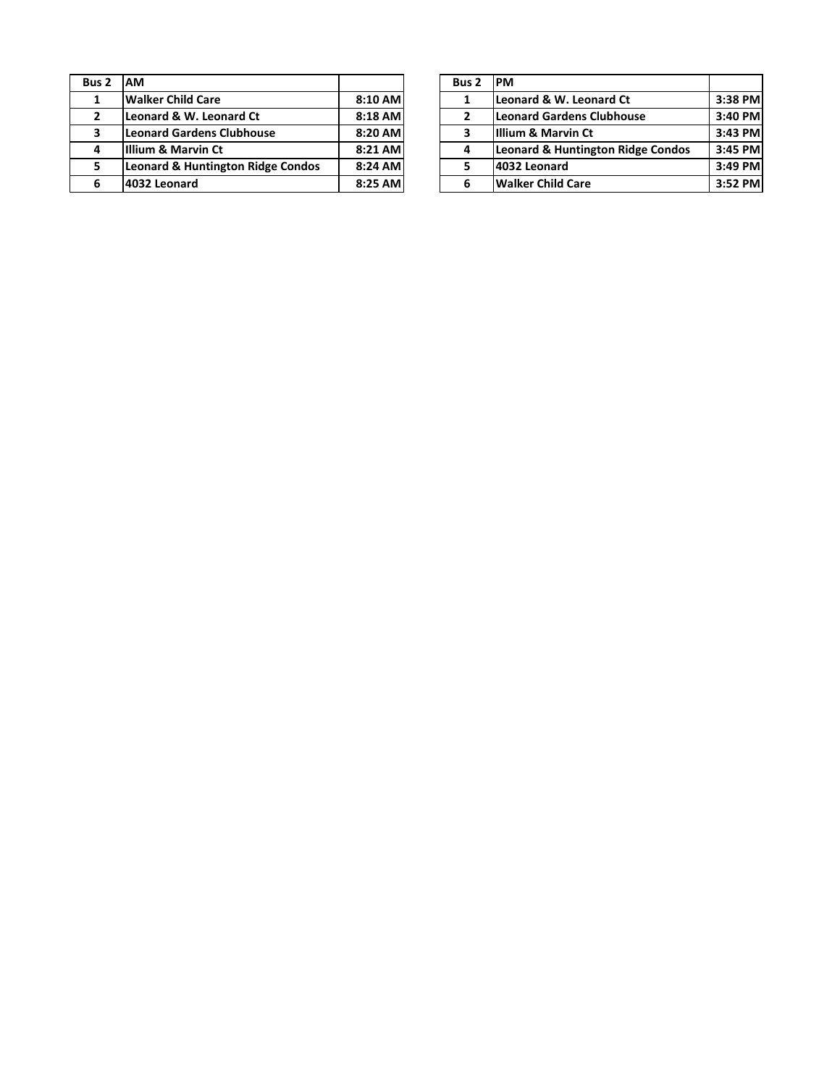| Bus 2        | <b>AM</b>                                    |         | Bus <sub>2</sub> | <b>PM</b> |
|--------------|----------------------------------------------|---------|------------------|-----------|
| 1            | <b>Walker Child Care</b>                     | 8:10 AM |                  | Leo       |
| $\mathbf{2}$ | Leonard & W. Leonard Ct                      | 8:18 AM |                  | Leo       |
| 3            | <b>Leonard Gardens Clubhouse</b>             | 8:20 AM | з                | Illiu     |
| 4            | Illium & Marvin Ct                           | 8:21 AM |                  | Leo       |
| 5            | <b>Leonard &amp; Huntington Ridge Condos</b> | 8:24 AM |                  | 403       |
| 6            | 4032 Leonard                                 | 8:25 AM |                  | Wa        |

| ıs 2         | <b>IAM</b>                                   |         | Bus <sub>2</sub> | <b>IPM</b>                        |           |
|--------------|----------------------------------------------|---------|------------------|-----------------------------------|-----------|
|              | Walker Child Care                            | 8:10 AM |                  | Leonard & W. Leonard Ct           | 3:38 PM   |
| $\mathbf{z}$ | Leonard & W. Leonard Ct                      | 8:18 AM |                  | Leonard Gardens Clubhouse         | 3:40 PM   |
| 3            | Leonard Gardens Clubhouse                    | 8:20 AM | 3                | Illium & Marvin Ct                | $3:43$ PM |
| 4            | Illium & Marvin Ct                           | 8:21 AM |                  | Leonard & Huntington Ridge Condos | $3:45$ PM |
| 5.           | <b>Leonard &amp; Huntington Ridge Condos</b> | 8:24 AM | 5                | 4032 Leonard                      | $3:49$ PM |
| 6            | 4032 Leonard                                 | 8:25 AM |                  | <b>Walker Child Care</b>          | 3:52 PM   |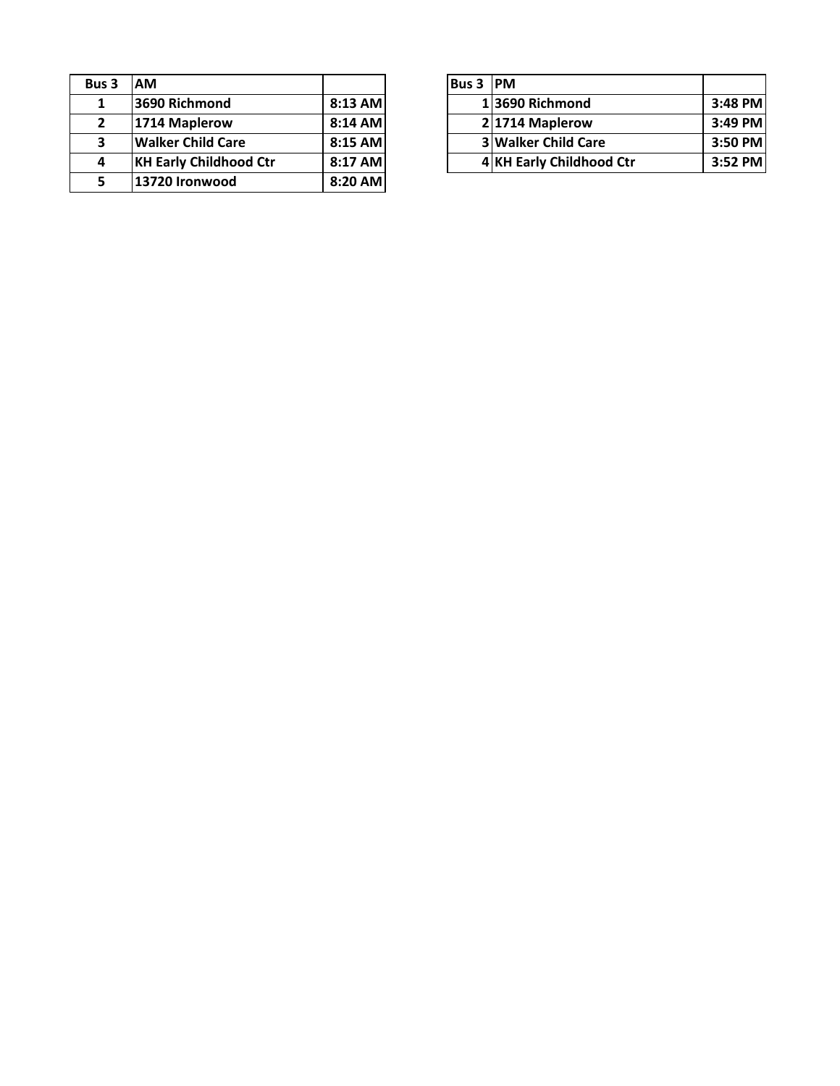| Bus 3        | <b>AM</b>                     |         | <b>Bus 3</b> | <b>PM</b> |
|--------------|-------------------------------|---------|--------------|-----------|
| 1            | 3690 Richmond                 | 8:13 AM |              | 1369      |
| $\mathbf{2}$ | 1714 Maplerow                 | 8:14 AM |              | 2 171     |
| 3            | <b>Walker Child Care</b>      | 8:15 AM |              | 3 Wa      |
| 4            | <b>KH Early Childhood Ctr</b> | 8:17 AM |              | 4 KH      |
|              | 13720 Ironwood                | 8:20 AM |              |           |

| ıs 3 | <b>IAM</b>                    |           | <b>Bus 3 IPM</b> |                            |           |
|------|-------------------------------|-----------|------------------|----------------------------|-----------|
| 1    | 3690 Richmond                 | $8:13$ AM |                  | 13690 Richmond             | 3:48 PM   |
|      | 1714 Maplerow                 | 8:14 AM   |                  | 21714 Maplerow             | $3:49$ PM |
| 3    | <b>Walker Child Care</b>      | $8:15$ AM |                  | <b>3 Walker Child Care</b> | 3:50 PM   |
| 4    | <b>KH Early Childhood Ctr</b> | 8:17 AM   |                  | 4 KH Early Childhood Ctr   | 3:52 PM   |
|      |                               |           |                  |                            |           |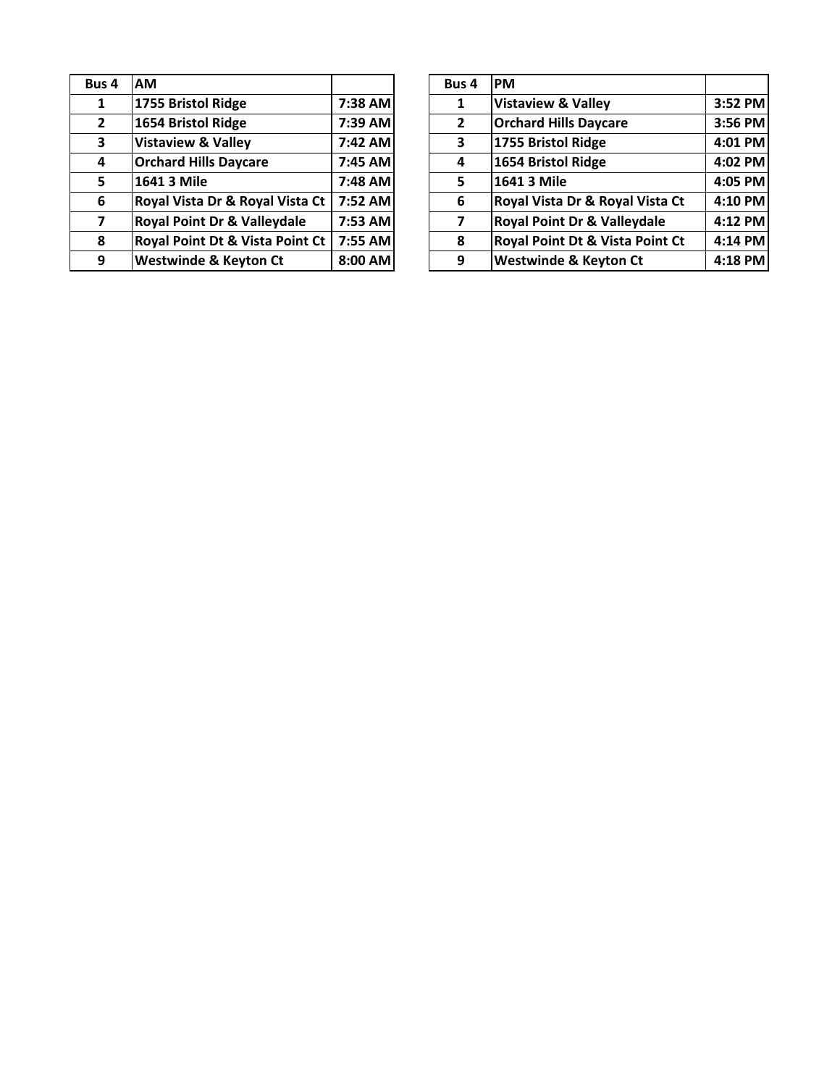| Bus 4          | АM                               |         | Bus 4          | <b>PM</b>  |
|----------------|----------------------------------|---------|----------------|------------|
| 1              | 1755 Bristol Ridge               | 7:38 AM | 1              | <b>Vis</b> |
| $\overline{2}$ | 1654 Bristol Ridge               | 7:39 AM | $\overline{2}$ | Orc        |
| 3              | <b>Vistaview &amp; Valley</b>    | 7:42 AM | 3              | 175        |
| 4              | <b>Orchard Hills Daycare</b>     | 7:45 AM | 4              | 165        |
| 5              | 1641 3 Mile                      | 7:48 AM | 5              | 164        |
| 6              | Royal Vista Dr & Royal Vista Ct  | 7:52 AM | 6              | <b>Roy</b> |
| 7              | Royal Point Dr & Valleydale      | 7:53 AM | 7              | <b>Roy</b> |
| 8              | Royal Point Dt & Vista Point Ct  | 7:55 AM | 8              | <b>Roy</b> |
| 9              | <b>Westwinde &amp; Keyton Ct</b> | 8:00 AM | 9              | We         |

| ıs 4           | <b>AM</b>                              |         | Bus 4          | <b>PM</b>                                  |         |
|----------------|----------------------------------------|---------|----------------|--------------------------------------------|---------|
| $\mathbf{1}$   | 1755 Bristol Ridge                     | 7:38 AM | 1              | <b>Vistaview &amp; Valley</b>              | 3:52 PM |
| $\mathbf{2}$   | 1654 Bristol Ridge                     | 7:39 AM | $\overline{2}$ | <b>Orchard Hills Daycare</b>               | 3:56 PM |
| 3              | <b>Vistaview &amp; Valley</b>          | 7:42 AM | 3              | 1755 Bristol Ridge                         | 4:01 PM |
| 4              | <b>Orchard Hills Daycare</b>           | 7:45 AM | 4              | 1654 Bristol Ridge                         | 4:02 PM |
| 5              | 1641 3 Mile                            | 7:48 AM | 5              | 1641 3 Mile                                | 4:05 PM |
| 6              | Royal Vista Dr & Royal Vista Ct        | 7:52 AM | 6              | Royal Vista Dr & Royal Vista Ct            | 4:10 PM |
| $\overline{7}$ | <b>Royal Point Dr &amp; Valleydale</b> | 7:53 AM | 7              | <b>Royal Point Dr &amp; Valleydale</b>     | 4:12 PM |
| 8              | Royal Point Dt & Vista Point Ct        | 7:55 AM | 8              | <b>Royal Point Dt &amp; Vista Point Ct</b> | 4:14 PM |
| 9              | <b>Westwinde &amp; Keyton Ct</b>       | 8:00 AM | 9              | <b>Westwinde &amp; Keyton Ct</b>           | 4:18 PM |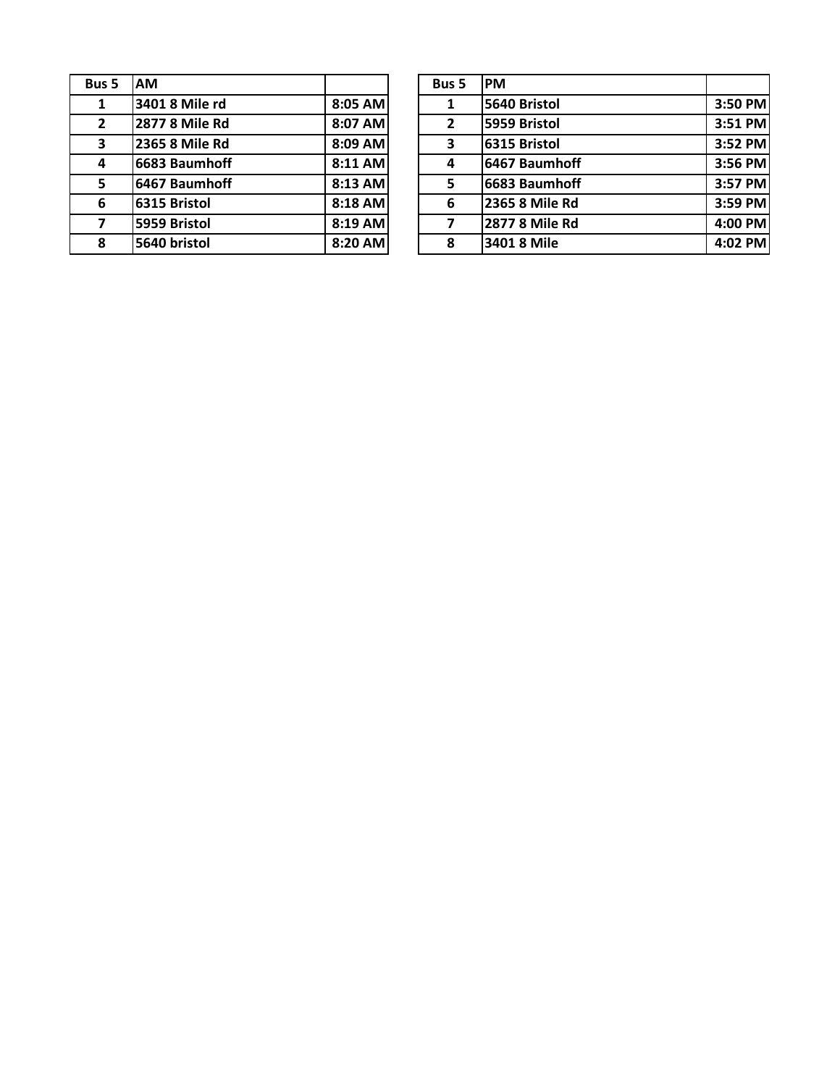| Bus 5        | <b>AM</b>             |         | Bus 5          | <b>PM</b> |
|--------------|-----------------------|---------|----------------|-----------|
| 1            | 3401 8 Mile rd        | 8:05 AM | 1              | 564       |
| $\mathbf{2}$ | <b>2877 8 Mile Rd</b> | 8:07 AM | $\overline{2}$ | 595       |
| 3            | 2365 8 Mile Rd        | 8:09 AM | 3              | 631       |
| 4            | 6683 Baumhoff         | 8:11 AM | 4              | 646       |
| 5.           | 6467 Baumhoff         | 8:13 AM | 5              | 668       |
| 6            | 6315 Bristol          | 8:18 AM | 6              | 236       |
| 7            | 5959 Bristol          | 8:19 AM | 7              | 287       |
| 8            | 5640 bristol          | 8:20 AM | 8              | 340       |

| ıs 5                    | <b>IAM</b>     |         | Bus 5          | <b>PM</b>      |         |
|-------------------------|----------------|---------|----------------|----------------|---------|
| $\mathbf{1}$            | 3401 8 Mile rd | 8:05 AM |                | 5640 Bristol   | 3:50 PM |
| $\overline{\mathbf{c}}$ | 2877 8 Mile Rd | 8:07 AM | $\overline{2}$ | 5959 Bristol   | 3:51 PM |
| 3.                      | 2365 8 Mile Rd | 8:09 AM | 3              | 6315 Bristol   | 3:52 PM |
| 4                       | 6683 Baumhoff  | 8:11 AM | 4              | 6467 Baumhoff  | 3:56 PM |
| 5                       | 6467 Baumhoff  | 8:13 AM | 5              | 6683 Baumhoff  | 3:57 PM |
| 6                       | 6315 Bristol   | 8:18 AM | 6              | 2365 8 Mile Rd | 3:59 PM |
| 7                       | 5959 Bristol   | 8:19 AM |                | 2877 8 Mile Rd | 4:00 PM |
| 8                       | 5640 bristol   | 8:20 AM | 8              | 3401 8 Mile    | 4:02 PM |
|                         |                |         |                |                |         |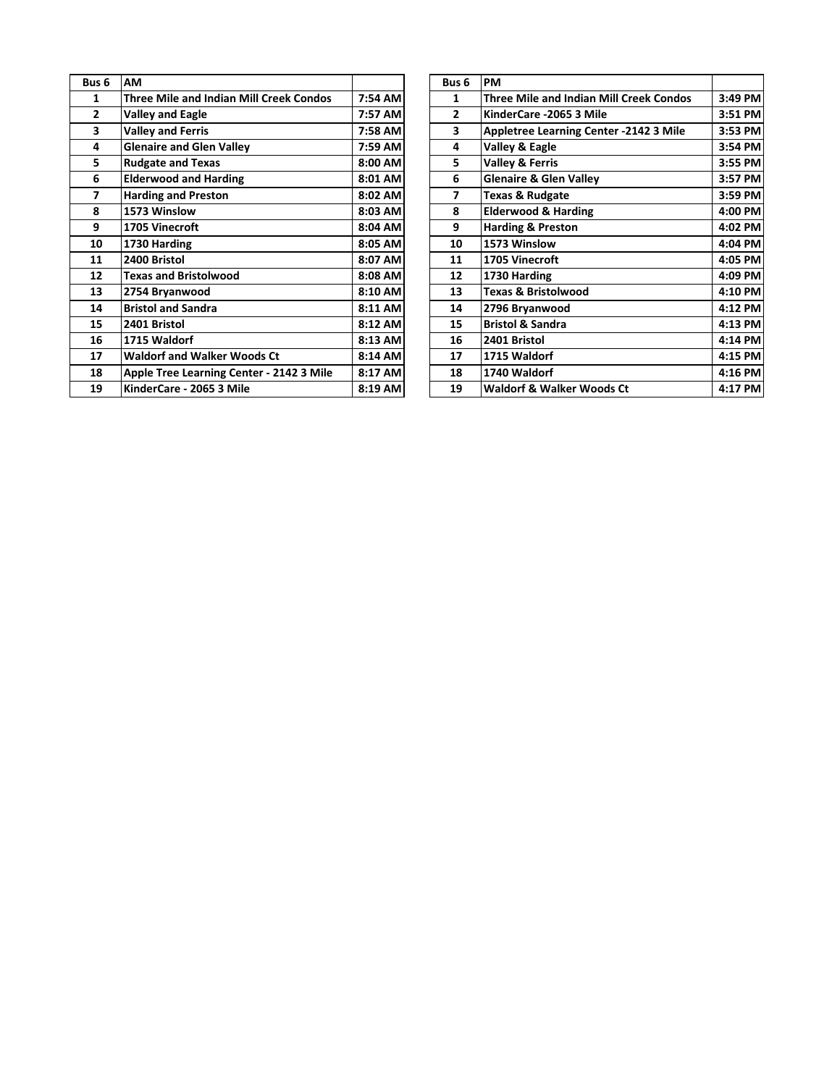| Bus <sub>6</sub> | AM                                             |         | Bus <sub>6</sub> | <b>PM</b>       |
|------------------|------------------------------------------------|---------|------------------|-----------------|
| 1                | <b>Three Mile and Indian Mill Creek Condos</b> | 7:54 AM | 1                | Thr             |
| $\overline{2}$   | <b>Valley and Eagle</b>                        | 7:57 AM | $\overline{2}$   | Kin             |
| 3                | <b>Valley and Ferris</b>                       | 7:58 AM | 3                | Apı             |
| 4                | <b>Glenaire and Glen Valley</b>                | 7:59 AM | 4                | Val             |
| 5                | <b>Rudgate and Texas</b>                       | 8:00 AM | 5                | Val             |
| 6                | <b>Elderwood and Harding</b>                   | 8:01 AM | 6                | Gle             |
| 7                | <b>Harding and Preston</b>                     | 8:02 AM | 7                | Тех             |
| 8                | 1573 Winslow                                   | 8:03 AM | 8                | Eld             |
| 9                | 1705 Vinecroft                                 | 8:04 AM | 9                | Har             |
| 10               | 1730 Harding                                   | 8:05 AM | 10               | 157             |
| 11               | 2400 Bristol                                   | 8:07 AM | 11               | 17 <sub>0</sub> |
| 12               | <b>Texas and Bristolwood</b>                   | 8:08 AM | 12               | 173             |
| 13               | 2754 Bryanwood                                 | 8:10 AM | 13               | Тех             |
| 14               | <b>Bristol and Sandra</b>                      | 8:11 AM | 14               | 279             |
| 15               | 2401 Bristol                                   | 8:12 AM | 15               | <b>Bris</b>     |
| 16               | 1715 Waldorf                                   | 8:13 AM | 16               | 240             |
| 17               | <b>Waldorf and Walker Woods Ct</b>             | 8:14 AM | 17               | 171             |
| 18               | Apple Tree Learning Center - 2142 3 Mile       | 8:17 AM | 18               | 17 <sub>4</sub> |
| 19               | KinderCare - 2065 3 Mile                       | 8:19 AM | 19               | Wa              |

| us 6           | AM                                             |         | Bus <sub>6</sub> | <b>PM</b>                                      |         |
|----------------|------------------------------------------------|---------|------------------|------------------------------------------------|---------|
| $\mathbf{1}$   | <b>Three Mile and Indian Mill Creek Condos</b> | 7:54 AM | 1                | <b>Three Mile and Indian Mill Creek Condos</b> | 3:49 PM |
| $\mathbf{2}$   | <b>Valley and Eagle</b>                        | 7:57 AM | 2                | KinderCare -2065 3 Mile                        | 3:51 PM |
| 3              | <b>Valley and Ferris</b>                       | 7:58 AM | 3                | Appletree Learning Center -2142 3 Mile         | 3:53 PM |
| 4              | <b>Glenaire and Glen Valley</b>                | 7:59 AM | 4                | Valley & Eagle                                 | 3:54 PM |
| 5              | <b>Rudgate and Texas</b>                       | 8:00 AM | 5                | <b>Valley &amp; Ferris</b>                     | 3:55 PM |
| 6              | <b>Elderwood and Harding</b>                   | 8:01 AM | 6                | <b>Glenaire &amp; Glen Valley</b>              | 3:57 PM |
| $\overline{7}$ | <b>Harding and Preston</b>                     | 8:02 AM | 7                | <b>Texas &amp; Rudgate</b>                     | 3:59 PM |
| 8              | 1573 Winslow                                   | 8:03 AM | 8                | <b>Elderwood &amp; Harding</b>                 | 4:00 PM |
| 9              | 1705 Vinecroft                                 | 8:04 AM | 9                | <b>Harding &amp; Preston</b>                   | 4:02 PM |
| 10             | 1730 Harding                                   | 8:05 AM | 10               | 1573 Winslow                                   | 4:04 PM |
| 11             | 2400 Bristol                                   | 8:07 AM | 11               | 1705 Vinecroft                                 | 4:05 PM |
| 12             | <b>Texas and Bristolwood</b>                   | 8:08 AM | 12               | 1730 Harding                                   | 4:09 PM |
| 13             | 2754 Bryanwood                                 | 8:10 AM | 13               | <b>Texas &amp; Bristolwood</b>                 | 4:10 PM |
| 14             | <b>Bristol and Sandra</b>                      | 8:11 AM | 14               | 2796 Bryanwood                                 | 4:12 PM |
| 15             | 2401 Bristol                                   | 8:12 AM | 15               | <b>Bristol &amp; Sandra</b>                    | 4:13 PM |
| 16             | 1715 Waldorf                                   | 8:13 AM | 16               | 2401 Bristol                                   | 4:14 PM |
| 17             | <b>Waldorf and Walker Woods Ct</b>             | 8:14 AM | 17               | 1715 Waldorf                                   | 4:15 PM |
| 18             | Apple Tree Learning Center - 2142 3 Mile       | 8:17 AM | 18               | 1740 Waldorf                                   | 4:16 PM |
| 19             | KinderCare - 2065 3 Mile                       | 8:19 AM | 19               | <b>Waldorf &amp; Walker Woods Ct</b>           | 4:17 PM |
|                |                                                |         |                  |                                                |         |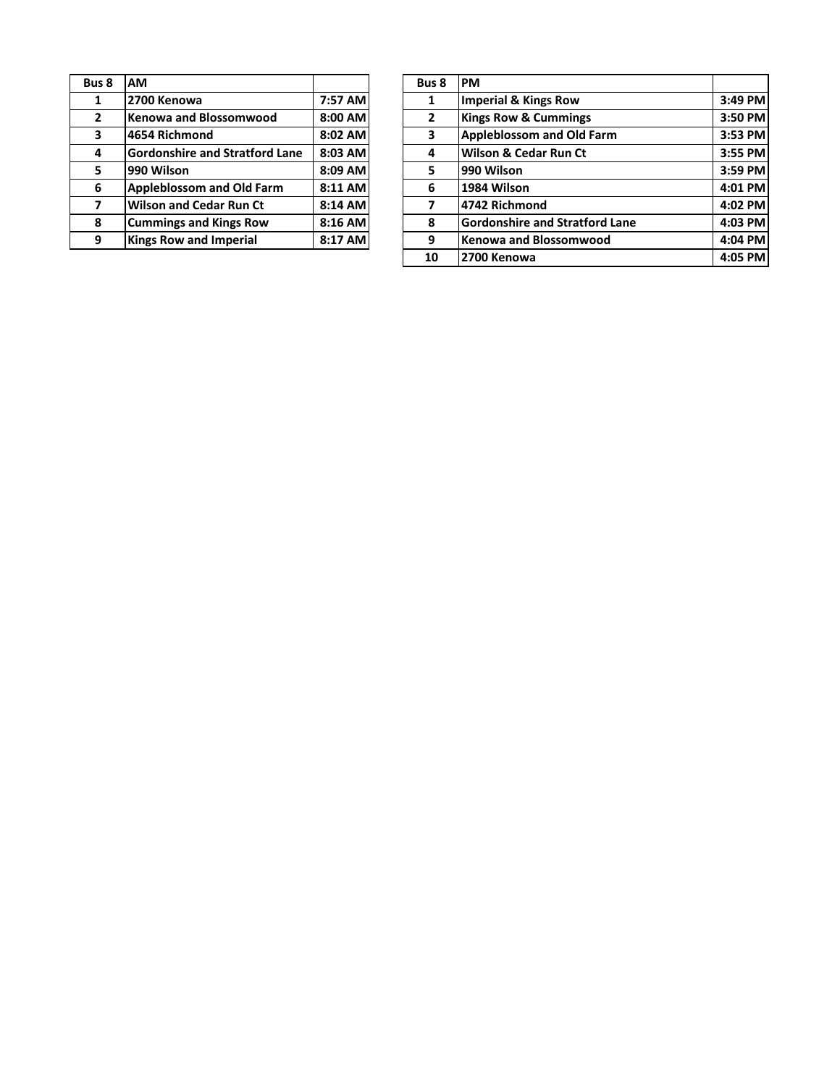| Bus 8          | <b>AM</b>                             |         | Bus 8          | <b>PM</b>  |
|----------------|---------------------------------------|---------|----------------|------------|
| 1              | 2700 Kenowa                           | 7:57 AM | 1              | <b>Imp</b> |
| $\overline{2}$ | <b>Kenowa and Blossomwood</b>         | 8:00 AM | $\overline{2}$ | Kin        |
| 3              | 4654 Richmond                         | 8:02 AM | 3              | Ap         |
| 4              | <b>Gordonshire and Stratford Lane</b> | 8:03 AM | 4              | Wil        |
| 5              | 990 Wilson                            | 8:09 AM | 5              | 990        |
| 6              | <b>Appleblossom and Old Farm</b>      | 8:11 AM | 6              | 198        |
| 7              | <b>Wilson and Cedar Run Ct</b>        | 8:14 AM | 7              | 474        |
| 8              | <b>Cummings and Kings Row</b>         | 8:16 AM | 8              | Go         |
| 9              | <b>Kings Row and Imperial</b>         | 8:17 AM | 9              | Ker        |

| ıs 8         | <b>AM</b>                             |         | Bus 8 | <b>PM</b>                             |           |
|--------------|---------------------------------------|---------|-------|---------------------------------------|-----------|
| $\mathbf{1}$ | 2700 Kenowa                           | 7:57 AM |       | <b>Imperial &amp; Kings Row</b>       | 3:49 PM   |
| $\mathbf{z}$ | Kenowa and Blossomwood                | 8:00 AM | 2     | <b>Kings Row &amp; Cummings</b>       | 3:50 PM   |
| 3            | 4654 Richmond                         | 8:02 AM | 3     | <b>Appleblossom and Old Farm</b>      | $3:53$ PM |
| 4            | <b>Gordonshire and Stratford Lane</b> | 8:03 AM | 4     | Wilson & Cedar Run Ct                 | 3:55 PM   |
| 5.           | 990 Wilson                            | 8:09 AM | 5     | 990 Wilson                            | $3:59$ PM |
| 6            | <b>Appleblossom and Old Farm</b>      | 8:11 AM | 6     | 1984 Wilson                           | $4:01$ PM |
| 7            | <b>Wilson and Cedar Run Ct</b>        | 8:14 AM | 7     | 4742 Richmond                         | 4:02 PM   |
| 8            | <b>Cummings and Kings Row</b>         | 8:16 AM | 8     | <b>Gordonshire and Stratford Lane</b> | $4:03$ PM |
| 9            | <b>Kings Row and Imperial</b>         | 8:17 AM | 9     | Kenowa and Blossomwood                | $4:04$ PM |
|              |                                       |         | 10    | 2700 Kenowa                           | $4:05$ PM |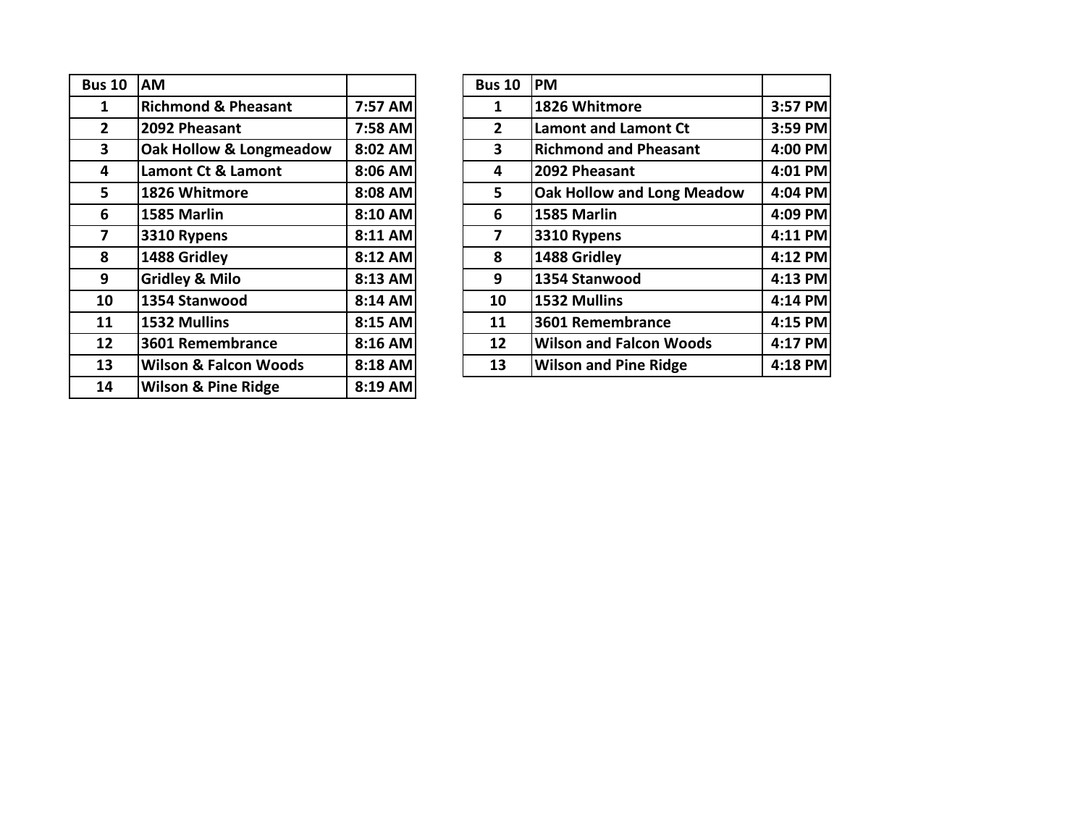| <b>Bus 10</b>  | АM                               |         | <b>Bus 10</b>  | <b>PM</b> |
|----------------|----------------------------------|---------|----------------|-----------|
| 1              | <b>Richmond &amp; Pheasant</b>   | 7:57 AM | 1              | 182       |
| $\overline{2}$ | 2092 Pheasant                    | 7:58 AM | $\overline{2}$ | Lan       |
| 3              | Oak Hollow & Longmeadow          | 8:02 AM | 3              | Ricl      |
| 4              | Lamont Ct & Lamont               | 8:06 AM | 4              | 209       |
| 5              | 1826 Whitmore                    | 8:08 AM | 5              | Oal       |
| 6              | 1585 Marlin                      | 8:10 AM | 6              | 158       |
| 7              | 3310 Rypens                      | 8:11 AM | 7              | 331       |
| 8              | 1488 Gridley                     | 8:12 AM | 8              | 148       |
| 9              | <b>Gridley &amp; Milo</b>        | 8:13 AM | 9              | 135       |
| 10             | 1354 Stanwood                    | 8:14 AM | 10             | 153       |
| 11             | 1532 Mullins                     | 8:15 AM | 11             | 360       |
| 12             | 3601 Remembrance                 | 8:16 AM | 12             | Wil       |
| 13             | <b>Wilson &amp; Falcon Woods</b> | 8:18 AM | 13             | Wil       |
| 14             | <b>Wilson &amp; Pine Ridge</b>   | 8:19 AM |                |           |

| <b>us 10</b>            | <b>AM</b>                        |         | <b>Bus 10</b> | <b>PM</b>                         |         |
|-------------------------|----------------------------------|---------|---------------|-----------------------------------|---------|
| $\mathbf{1}$            | <b>Richmond &amp; Pheasant</b>   | 7:57 AM | 1             | 1826 Whitmore                     | 3:57 PM |
| $2^{\circ}$             | 2092 Pheasant                    | 7:58 AM | $\mathbf{2}$  | <b>Lamont and Lamont Ct</b>       | 3:59 PM |
| $\overline{\mathbf{3}}$ | Oak Hollow & Longmeadow          | 8:02 AM | 3             | <b>Richmond and Pheasant</b>      | 4:00 PM |
| 4                       | Lamont Ct & Lamont               | 8:06 AM | 4             | 2092 Pheasant                     | 4:01 PM |
| 5 <sup>5</sup>          | 1826 Whitmore                    | 8:08 AM | 5             | <b>Oak Hollow and Long Meadow</b> | 4:04 PM |
| 6                       | 1585 Marlin                      | 8:10 AM | 6             | 1585 Marlin                       | 4:09 PM |
| $\overline{\mathbf{z}}$ | 3310 Rypens                      | 8:11 AM | 7             | 3310 Rypens                       | 4:11 PM |
| 8                       | 1488 Gridley                     | 8:12 AM | 8             | 1488 Gridley                      | 4:12 PM |
| 9                       | <b>Gridley &amp; Milo</b>        | 8:13 AM | 9             | 1354 Stanwood                     | 4:13 PM |
| 10                      | 1354 Stanwood                    | 8:14 AM | 10            | 1532 Mullins                      | 4:14 PM |
| 11                      | 1532 Mullins                     | 8:15 AM | 11            | 3601 Remembrance                  | 4:15 PM |
| 12 <sup>1</sup>         | 3601 Remembrance                 | 8:16 AM | 12            | <b>Wilson and Falcon Woods</b>    | 4:17 PM |
| 13                      | <b>Wilson &amp; Falcon Woods</b> | 8:18 AM | 13            | <b>Wilson and Pine Ridge</b>      | 4:18 PM |
|                         |                                  |         |               |                                   |         |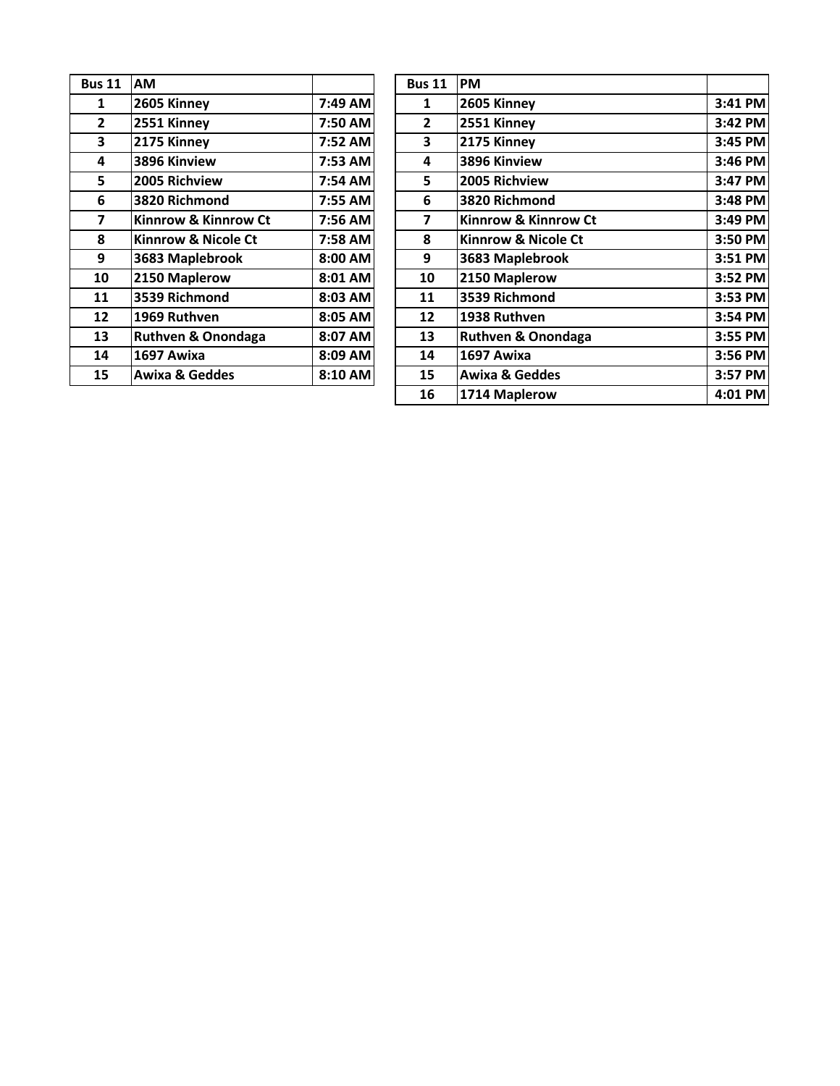| <b>Bus 11</b> | АM                            |         | <b>Bus 11</b> | <b>PM</b> |
|---------------|-------------------------------|---------|---------------|-----------|
| 1             | 2605 Kinney                   | 7:49 AM | $\mathbf{1}$  | 260       |
| $\mathbf{2}$  | 2551 Kinney                   | 7:50 AM | $\mathbf{2}$  | 255       |
| 3             | 2175 Kinney                   | 7:52 AM | 3             | 217       |
| 4             | 3896 Kinview                  | 7:53 AM | 4             | 389       |
| 5.            | 2005 Richview                 | 7:54 AM | 5.            | 200       |
| 6             | 3820 Richmond                 | 7:55 AM | 6             | 382       |
| 7             | Kinnrow & Kinnrow Ct          | 7:56 AM | 7             | Kin       |
| 8             | Kinnrow & Nicole Ct           | 7:58 AM | 8             | Kin       |
| 9             | 3683 Maplebrook               | 8:00 AM | 9             | 368       |
| 10            | 2150 Maplerow                 | 8:01 AM | 10            | 215       |
| 11            | 3539 Richmond                 | 8:03 AM | 11            | 353       |
| 12            | 1969 Ruthven                  | 8:05 AM | 12            | 193       |
| 13            | <b>Ruthven &amp; Onondaga</b> | 8:07 AM | 13            | Rut       |
| 14            | 1697 Awixa                    | 8:09 AM | 14            | 169       |
| 15            | Awixa & Geddes                | 8:10 AM | 15            | Aw        |
|               |                               |         |               |           |

| ıs 11          | <b>AM</b>                      |         | <b>Bus 11</b>  | <b>PM</b>                      |         |
|----------------|--------------------------------|---------|----------------|--------------------------------|---------|
| $\mathbf{1}$   | 2605 Kinney                    | 7:49 AM | 1              | 2605 Kinney                    | 3:41 PM |
| $\mathbf{2}$   | 2551 Kinney                    | 7:50 AM | $\overline{2}$ | 2551 Kinney                    | 3:42 PM |
| $\mathbf{3}$   | 2175 Kinney                    | 7:52 AM | 3              | 2175 Kinney                    | 3:45 PM |
| 4              | 3896 Kinview                   | 7:53 AM | 4              | 3896 Kinview                   | 3:46 PM |
| $5\phantom{a}$ | 2005 Richview                  | 7:54 AM | 5.             | 2005 Richview                  | 3:47 PM |
| 6              | 3820 Richmond                  | 7:55 AM | 6              | 3820 Richmond                  | 3:48 PM |
| 7              | Kinnrow & Kinnrow Ct           | 7:56 AM | 7              | Kinnrow & Kinnrow Ct           | 3:49 PM |
| 8              | <b>Kinnrow &amp; Nicole Ct</b> | 7:58 AM | 8              | <b>Kinnrow &amp; Nicole Ct</b> | 3:50 PM |
| $\mathbf{9}$   | 3683 Maplebrook                | 8:00 AM | 9              | 3683 Maplebrook                | 3:51 PM |
| 10             | 2150 Maplerow                  | 8:01 AM | 10             | 2150 Maplerow                  | 3:52 PM |
| 11             | 3539 Richmond                  | 8:03 AM | 11             | 3539 Richmond                  | 3:53 PM |
| 12             | 1969 Ruthven                   | 8:05 AM | 12             | 1938 Ruthven                   | 3:54 PM |
| 13             | <b>Ruthven &amp; Onondaga</b>  | 8:07 AM | 13             | <b>Ruthven &amp; Onondaga</b>  | 3:55 PM |
| 14             | 1697 Awixa                     | 8:09 AM | 14             | 1697 Awixa                     | 3:56 PM |
| 15             | <b>Awixa &amp; Geddes</b>      | 8:10 AM | 15             | <b>Awixa &amp; Geddes</b>      | 3:57 PM |
|                |                                |         | 16             | 1714 Maplerow                  | 4:01 PM |
|                |                                |         |                |                                |         |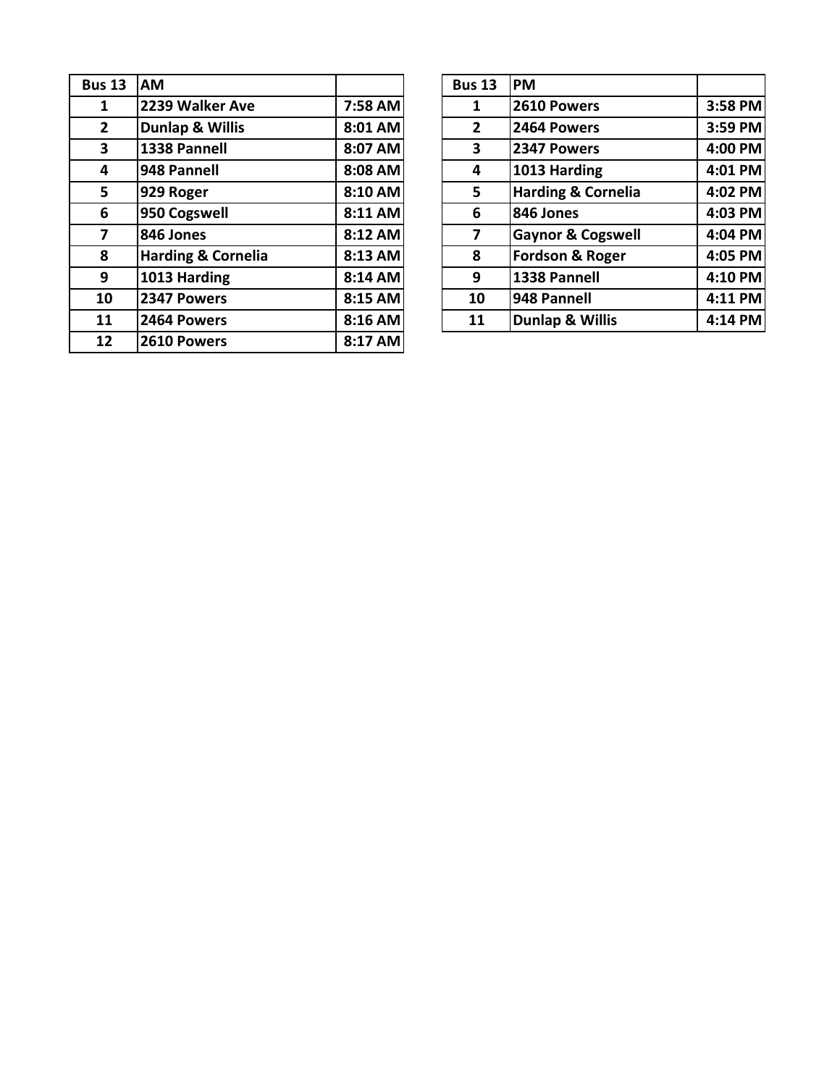| <b>Bus 13</b>  | AM                            |         | <b>Bus 13</b> | <b>PM</b> |
|----------------|-------------------------------|---------|---------------|-----------|
| 1              | 2239 Walker Ave               | 7:58 AM | 1             | 261       |
| 2 <sup>1</sup> | <b>Dunlap &amp; Willis</b>    | 8:01 AM | $\mathbf{2}$  | 246       |
| 3              | 1338 Pannell                  | 8:07 AM | 3             | 234       |
| 4              | 948 Pannell                   | 8:08 AM | 4             | 101       |
| 5              | 929 Roger                     | 8:10 AM | 5             | Har       |
| 6              | 950 Cogswell                  | 8:11 AM | 6             | 846       |
| 7              | 846 Jones                     | 8:12 AM | 7             | Gay       |
| 8              | <b>Harding &amp; Cornelia</b> | 8:13 AM | 8             | For       |
| 9              | 1013 Harding                  | 8:14 AM | 9             | 133       |
| 10             | 2347 Powers                   | 8:15 AM | 10            | 948       |
| 11             | 2464 Powers                   | 8:16 AM | 11            | Du        |
| 12             | 2610 Powers                   | 8:17 AM |               |           |

| ıs 13                   | <b>AM</b>                     |         | <b>Bus 13</b> | <b>PM</b>                     |         |
|-------------------------|-------------------------------|---------|---------------|-------------------------------|---------|
| $\mathbf{1}$            | 2239 Walker Ave               | 7:58 AM | 1             | 2610 Powers                   | 3:58 PM |
| $2^{\circ}$             | <b>Dunlap &amp; Willis</b>    | 8:01 AM | $\mathbf{2}$  | 2464 Powers                   | 3:59 PM |
| $\overline{\mathbf{3}}$ | 1338 Pannell                  | 8:07 AM | 3             | 2347 Powers                   | 4:00 PM |
| $\overline{\mathbf{4}}$ | 948 Pannell                   | 8:08 AM | 4             | 1013 Harding                  | 4:01 PM |
| 5 <sup>1</sup>          | 929 Roger                     | 8:10 AM | 5             | <b>Harding &amp; Cornelia</b> | 4:02 PM |
| 6                       | 950 Cogswell                  | 8:11 AM | 6             | 846 Jones                     | 4:03 PM |
| $\overline{7}$          | 846 Jones                     | 8:12 AM | 7             | <b>Gaynor &amp; Cogswell</b>  | 4:04 PM |
| 8                       | <b>Harding &amp; Cornelia</b> | 8:13 AM | 8             | <b>Fordson &amp; Roger</b>    | 4:05 PM |
| 9                       | 1013 Harding                  | 8:14 AM | 9             | 1338 Pannell                  | 4:10 PM |
| 10                      | 2347 Powers                   | 8:15 AM | 10            | 948 Pannell                   | 4:11 PM |
| 11                      | 2464 Powers                   | 8:16 AM | 11            | <b>Dunlap &amp; Willis</b>    | 4:14 PM |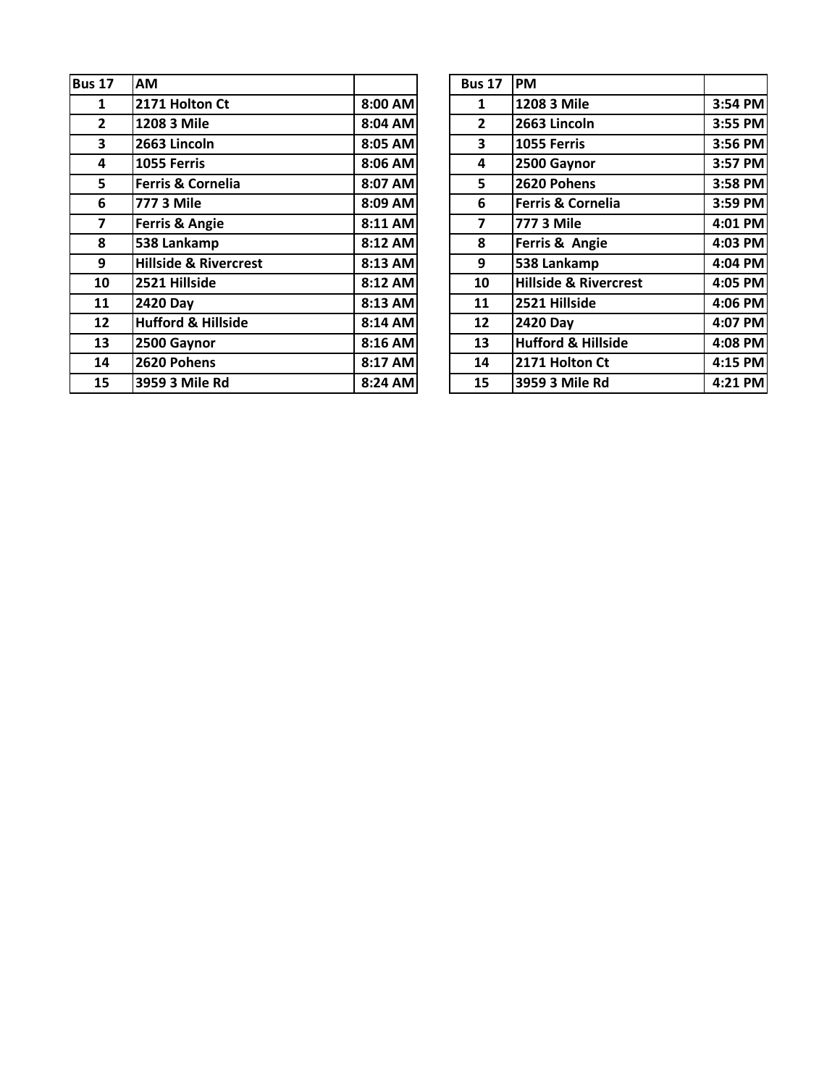| <b>Bus 17</b>           | AM                               |         | <b>Bus 17</b>  | <b>IPM</b>                       |         |
|-------------------------|----------------------------------|---------|----------------|----------------------------------|---------|
| 1                       | 2171 Holton Ct                   | 8:00 AM | 1              | 1208 3 Mile                      | 3:54 PM |
| $\mathbf{2}$            | 1208 3 Mile                      | 8:04 AM | $\overline{2}$ | 2663 Lincoln                     | 3:55 PM |
| 3                       | 2663 Lincoln                     | 8:05 AM | 3              | 1055 Ferris                      | 3:56 PM |
| 4                       | 1055 Ferris                      | 8:06 AM | 4              | 2500 Gaynor                      | 3:57 PM |
| 5                       | <b>Ferris &amp; Cornelia</b>     | 8:07 AM | 5              | 2620 Pohens                      | 3:58 PM |
| 6                       | 777 3 Mile                       | 8:09 AM | 6              | Ferris & Cornelia                | 3:59 PM |
| $\overline{\mathbf{z}}$ | Ferris & Angie                   | 8:11 AM | $\overline{ }$ | 777 3 Mile                       | 4:01 PM |
| 8                       | 538 Lankamp                      | 8:12 AM | 8              | Ferris & Angie                   | 4:03 PM |
| 9                       | <b>Hillside &amp; Rivercrest</b> | 8:13 AM | 9              | 538 Lankamp                      | 4:04 PM |
| 10                      | 2521 Hillside                    | 8:12 AM | 10             | <b>Hillside &amp; Rivercrest</b> | 4:05 PM |
| 11                      | <b>2420 Day</b>                  | 8:13 AM | 11             | 2521 Hillside                    | 4:06 PM |
| 12                      | <b>Hufford &amp; Hillside</b>    | 8:14 AM | 12             | <b>2420 Day</b>                  | 4:07 PM |
| 13                      | 2500 Gaynor                      | 8:16 AM | 13             | <b>Hufford &amp; Hillside</b>    | 4:08 PM |
| 14                      | 2620 Pohens                      | 8:17 AM | 14             | 2171 Holton Ct                   | 4:15 PM |
| 15                      | 3959 3 Mile Rd                   | 8:24 AM | 15             | 3959 3 Mile Rd                   | 4:21 PM |

| 17             | AM                               |         | <b>Bus 17</b>           | <b>PM</b>                        |           |
|----------------|----------------------------------|---------|-------------------------|----------------------------------|-----------|
| $\mathbf{1}$   | 2171 Holton Ct                   | 8:00 AM | $\mathbf{1}$            | 1208 3 Mile                      | 3:54 PM   |
| $\overline{2}$ | 1208 3 Mile                      | 8:04 AM | $\overline{2}$          | 2663 Lincoln                     | 3:55 PM   |
| $\mathbf{3}$   | 2663 Lincoln                     | 8:05 AM | $\overline{\mathbf{3}}$ | 1055 Ferris                      | 3:56 PM   |
| 4              | 1055 Ferris                      | 8:06 AM | 4                       | 2500 Gaynor                      | 3:57 PM   |
| 5 <sup>1</sup> | <b>Ferris &amp; Cornelia</b>     | 8:07 AM | 5                       | 2620 Pohens                      | 3:58 PM   |
| 6              | <b>777 3 Mile</b>                | 8:09 AM | 6                       | Ferris & Cornelia                | 3:59 PM   |
| $\overline{7}$ | <b>Ferris &amp; Angie</b>        | 8:11 AM | $\overline{\mathbf{z}}$ | 777 3 Mile                       | 4:01 PM   |
| 8              | 538 Lankamp                      | 8:12 AM | 8                       | Ferris & Angie                   | 4:03 PM   |
| 9              | <b>Hillside &amp; Rivercrest</b> | 8:13 AM | 9                       | 538 Lankamp                      | 4:04 PM   |
| 10             | 2521 Hillside                    | 8:12 AM | 10                      | <b>Hillside &amp; Rivercrest</b> | 4:05 PM   |
| 11             | <b>2420 Day</b>                  | 8:13 AM | 11                      | 2521 Hillside                    | $4:06$ PM |
| 12             | <b>Hufford &amp; Hillside</b>    | 8:14 AM | 12                      | <b>2420 Day</b>                  | 4:07 PM   |
| 13             | 2500 Gaynor                      | 8:16 AM | 13                      | <b>Hufford &amp; Hillside</b>    | $4:08$ PM |
| 14             | 2620 Pohens                      | 8:17 AM | 14                      | 2171 Holton Ct                   | 4:15 PM   |
| 15             | 3959 3 Mile Rd                   | 8:24 AM | 15                      | 3959 3 Mile Rd                   | 4:21 PM   |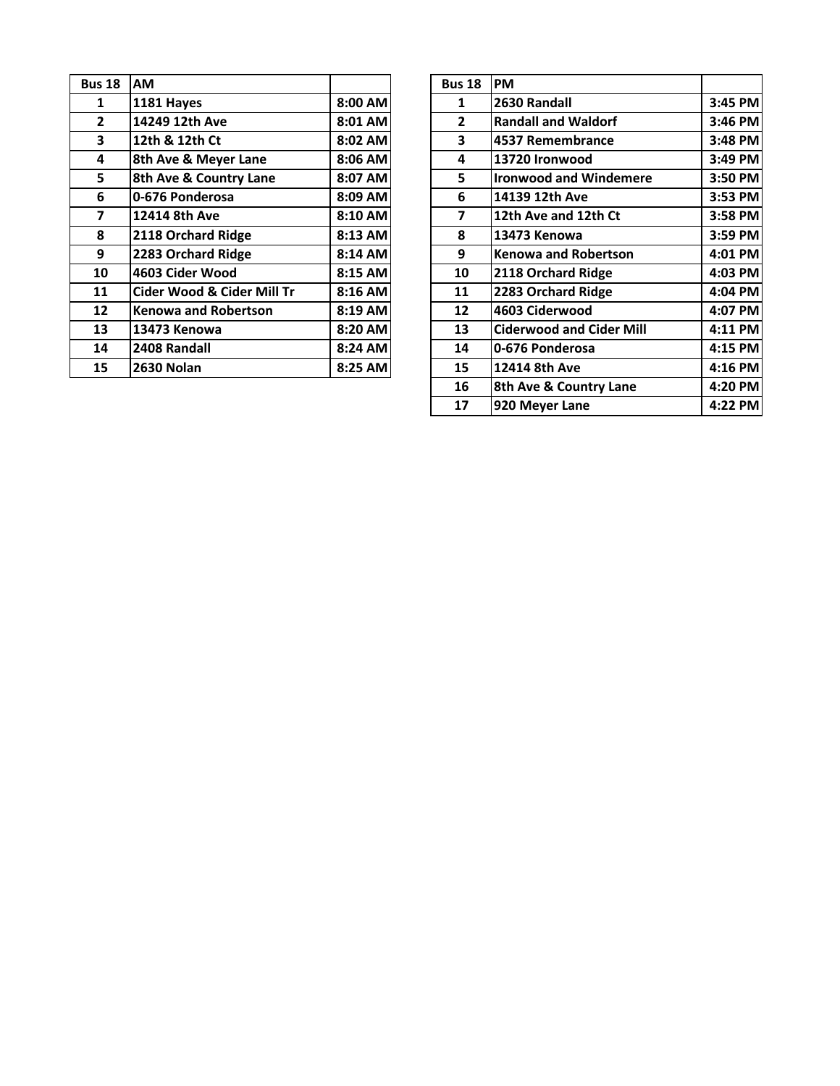| <b>Bus 18</b> | <b>AM</b>                             |         | <b>Bus 18</b> | <b>PM</b>  |
|---------------|---------------------------------------|---------|---------------|------------|
| 1             | 1181 Hayes                            | 8:00 AM | 1             | 263        |
| $\mathbf{2}$  | 14249 12th Ave                        | 8:01 AM | $\mathbf{2}$  | Rar        |
| 3             | 12th & 12th Ct                        | 8:02 AM | 3             | 453        |
| 4             | 8th Ave & Meyer Lane                  | 8:06 AM | 4             | 137        |
| 5             | 8th Ave & Country Lane                | 8:07 AM | 5             | Iro        |
| 6             | 0-676 Ponderosa                       | 8:09 AM | 6             | 141        |
| 7             | 12414 8th Ave                         | 8:10 AM | 7             | 12t        |
| 8             | 2118 Orchard Ridge                    | 8:13 AM | 8             | 134        |
| 9             | 2283 Orchard Ridge                    | 8:14 AM | 9             | Ker        |
| 10            | 4603 Cider Wood                       | 8:15 AM | 10            | 211        |
| 11            | <b>Cider Wood &amp; Cider Mill Tr</b> | 8:16 AM | 11            | 228        |
| 12            | <b>Kenowa and Robertson</b>           | 8:19 AM | 12            | 460        |
| 13            | 13473 Kenowa                          | 8:20 AM | 13            | <b>Cid</b> |
| 14            | 2408 Randall                          | 8:24 AM | 14            | $0-6$      |
| 15            | <b>2630 Nolan</b>                     | 8:25 AM | 15            | 124        |

| <b>AM</b>                             |  | <b>Bus 18</b>                                                                                                                                                     | PM                              |         |
|---------------------------------------|--|-------------------------------------------------------------------------------------------------------------------------------------------------------------------|---------------------------------|---------|
| 1181 Hayes                            |  | $\mathbf{1}$                                                                                                                                                      | 2630 Randall                    | 3:45 PM |
| 14249 12th Ave                        |  | $\mathbf{2}$                                                                                                                                                      | <b>Randall and Waldorf</b>      | 3:46 PM |
| 12th & 12th Ct                        |  | $\overline{\mathbf{3}}$                                                                                                                                           | 4537 Remembrance                | 3:48 PM |
| 8th Ave & Meyer Lane                  |  | 4                                                                                                                                                                 | 13720 Ironwood                  | 3:49 PM |
| 8th Ave & Country Lane                |  | 5.                                                                                                                                                                | <b>Ironwood and Windemere</b>   | 3:50 PM |
| 0-676 Ponderosa                       |  | 6                                                                                                                                                                 | 14139 12th Ave                  | 3:53 PM |
| 12414 8th Ave                         |  | $\overline{ }$                                                                                                                                                    | 12th Ave and 12th Ct            | 3:58 PM |
| 2118 Orchard Ridge                    |  | 8                                                                                                                                                                 | 13473 Kenowa                    | 3:59 PM |
| 2283 Orchard Ridge                    |  | 9                                                                                                                                                                 | <b>Kenowa and Robertson</b>     | 4:01 PM |
| 4603 Cider Wood                       |  | 10                                                                                                                                                                | 2118 Orchard Ridge              | 4:03 PM |
| <b>Cider Wood &amp; Cider Mill Tr</b> |  | 11                                                                                                                                                                | 2283 Orchard Ridge              | 4:04 PM |
| <b>Kenowa and Robertson</b>           |  | 12                                                                                                                                                                | 4603 Ciderwood                  | 4:07 PM |
| 13473 Kenowa                          |  | 13                                                                                                                                                                | <b>Ciderwood and Cider Mill</b> | 4:11 PM |
| 2408 Randall                          |  | 14                                                                                                                                                                | 0-676 Ponderosa                 | 4:15 PM |
| <b>2630 Nolan</b>                     |  | 15                                                                                                                                                                | 12414 8th Ave                   | 4:16 PM |
|                                       |  | 16                                                                                                                                                                | 8th Ave & Country Lane          | 4:20 PM |
|                                       |  | 17                                                                                                                                                                | 920 Meyer Lane                  | 4:22 PM |
|                                       |  | 8:00 AM<br>8:01 AM<br>8:02 AM<br>8:06 AM<br>8:07 AM<br>8:09 AM<br>8:10 AM<br>8:13 AM<br>8:14 AM<br>8:15 AM<br>8:16 AM<br>8:19 AM<br>8:20 AM<br>8:24 AM<br>8:25 AM |                                 |         |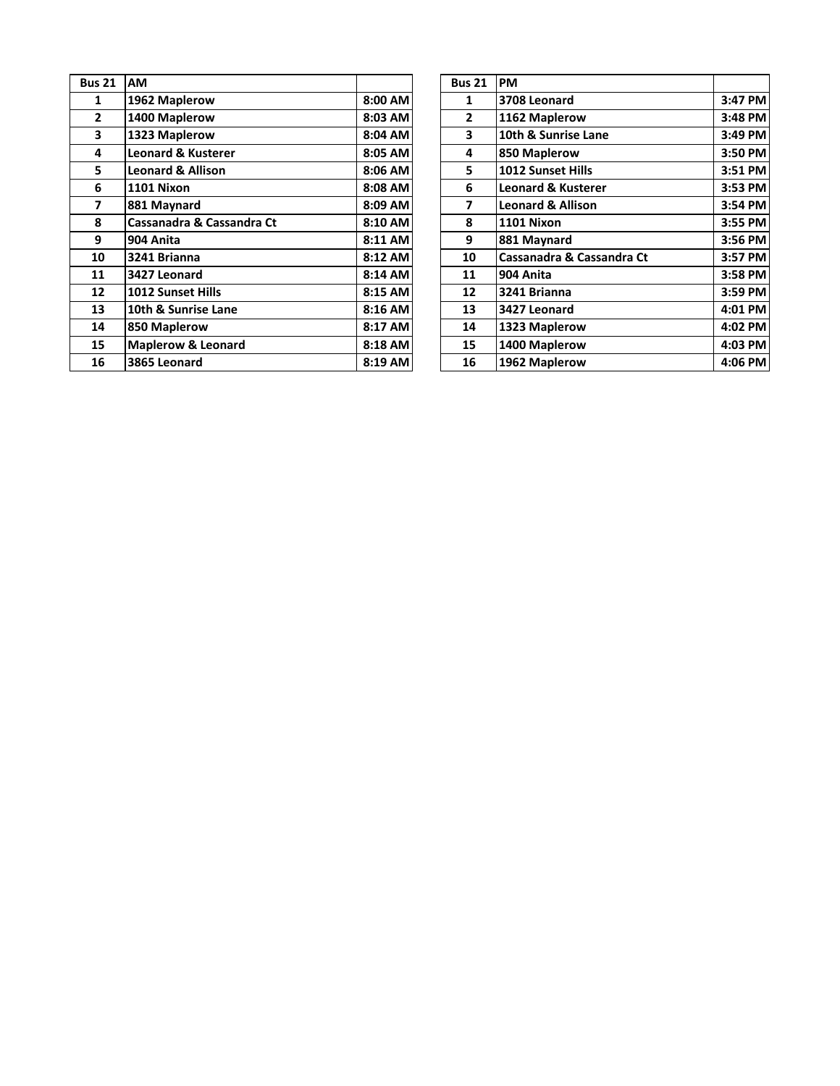| <b>Bus 21</b>           | <b>AM</b>                     |         | <b>Bus 21</b>  | <b>PM</b>       |
|-------------------------|-------------------------------|---------|----------------|-----------------|
| 1                       | 1962 Maplerow                 | 8:00 AM | 1              | 370             |
| $\overline{2}$          | 1400 Maplerow                 | 8:03 AM | $\overline{2}$ | 116             |
| 3                       | 1323 Maplerow                 | 8:04 AM | 3              | 10 <sub>t</sub> |
| 4                       | <b>Leonard &amp; Kusterer</b> | 8:05 AM | 4              | 850             |
| 5                       | <b>Leonard &amp; Allison</b>  | 8:06 AM | 5              | 101             |
| 6                       | 1101 Nixon                    | 8:08 AM | 6              | Leo             |
| $\overline{\mathbf{z}}$ | 881 Maynard                   | 8:09 AM | 7              | Leo             |
| 8                       | Cassanadra & Cassandra Ct     | 8:10 AM | 8              | 110             |
| 9                       | 904 Anita                     | 8:11 AM | 9              | 881             |
| 10                      | 3241 Brianna                  | 8:12 AM | 10             | Cas             |
| 11                      | 3427 Leonard                  | 8:14 AM | 11             | 904             |
| 12                      | <b>1012 Sunset Hills</b>      | 8:15 AM | 12             | 324             |
| 13                      | 10th & Sunrise Lane           | 8:16 AM | 13             | 342             |
| 14                      | 850 Maplerow                  | 8:17 AM | 14             | 132             |
| 15                      | <b>Maplerow &amp; Leonard</b> | 8:18 AM | 15             | 140             |
| 16                      | 3865 Leonard                  | 8:19 AM | 16             | 196             |

| us 21                   | AM                            |         | <b>Bus 21</b>  | <b>PM</b>                     |           |
|-------------------------|-------------------------------|---------|----------------|-------------------------------|-----------|
| $\mathbf{1}$            | 1962 Maplerow                 | 8:00 AM | 1              | 3708 Leonard                  | 3:47 PM   |
| $\overline{2}$          | 1400 Maplerow                 | 8:03 AM | $\overline{2}$ | 1162 Maplerow                 | 3:48 PM   |
| $\overline{\mathbf{3}}$ | 1323 Maplerow                 | 8:04 AM | 3              | 10th & Sunrise Lane           | $3:49$ PM |
| 4                       | <b>Leonard &amp; Kusterer</b> | 8:05 AM | 4              | 850 Maplerow                  | 3:50 PM   |
| 5                       | <b>Leonard &amp; Allison</b>  | 8:06 AM | 5              | 1012 Sunset Hills             | 3:51 PM   |
| 6                       | 1101 Nixon                    | 8:08 AM | 6              | <b>Leonard &amp; Kusterer</b> | $3:53$ PM |
| $\overline{7}$          | 881 Maynard                   | 8:09 AM | 7              | <b>Leonard &amp; Allison</b>  | 3:54 PM   |
| 8                       | Cassanadra & Cassandra Ct     | 8:10 AM | 8              | 1101 Nixon                    | $3:55$ PM |
| 9                       | 904 Anita                     | 8:11 AM | 9              | 881 Maynard                   | $3:56$ PM |
| 10                      | 3241 Brianna                  | 8:12 AM | 10             | Cassanadra & Cassandra Ct     | 3:57 PM   |
| 11                      | 3427 Leonard                  | 8:14 AM | 11             | 904 Anita                     | 3:58 PM   |
| 12                      | <b>1012 Sunset Hills</b>      | 8:15 AM | 12             | 3241 Brianna                  | $3:59$ PM |
| 13                      | 10th & Sunrise Lane           | 8:16 AM | 13             | 3427 Leonard                  | 4:01 PM   |
| 14                      | 850 Maplerow                  | 8:17 AM | 14             | 1323 Maplerow                 | $4:02$ PM |
| 15                      | <b>Maplerow &amp; Leonard</b> | 8:18 AM | 15             | 1400 Maplerow                 | $4:03$ PM |
| 16                      | 3865 Leonard                  | 8:19 AM | 16             | 1962 Maplerow                 | $4:06$ PM |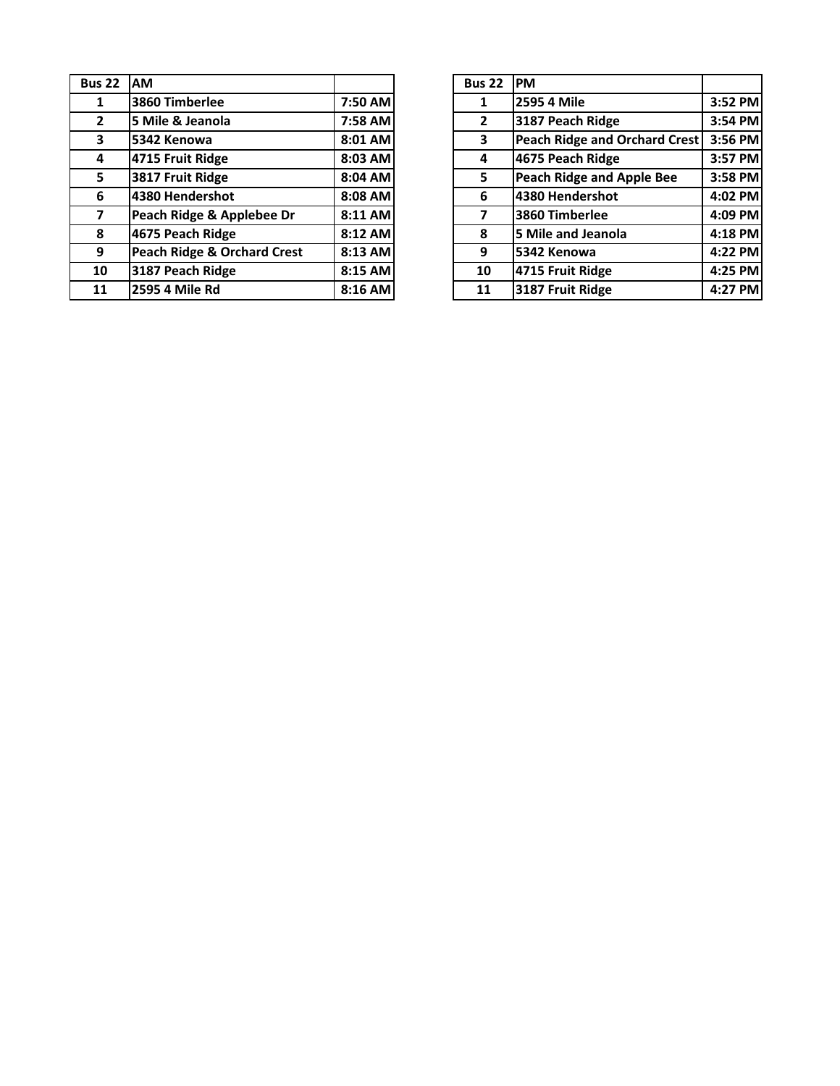| <b>Bus 22</b>            | <b>AM</b>                              |         | <b>Bus 22</b>  | PM         |
|--------------------------|----------------------------------------|---------|----------------|------------|
| 1                        | 3860 Timberlee                         | 7:50 AM | 1              | <b>259</b> |
| $\overline{2}$           | 5 Mile & Jeanola                       | 7:58 AM | $\overline{2}$ | 318        |
| 3                        | 5342 Kenowa                            | 8:01 AM | 3              | Pea        |
| 4                        | 4715 Fruit Ridge                       | 8:03 AM | 4              | 467        |
| 5                        | 3817 Fruit Ridge                       | 8:04 AM | 5              | Pea        |
| 6                        | 4380 Hendershot                        | 8:08 AM | 6              | 438        |
| $\overline{\phantom{a}}$ | Peach Ridge & Applebee Dr              | 8:11 AM | 7              | 386        |
| 8                        | 4675 Peach Ridge                       | 8:12 AM | 8              | 5 M        |
| 9                        | <b>Peach Ridge &amp; Orchard Crest</b> | 8:13 AM | 9              | 534        |
| 10                       | 3187 Peach Ridge                       | 8:15 AM | 10             | 471        |
| 11                       | 2595 4 Mile Rd                         | 8:16 AM | 11             | 318        |

| <b>us 22</b>   | <b>AM</b>                   |           | <b>Bus 22</b> | <b>PM</b>                            |         |
|----------------|-----------------------------|-----------|---------------|--------------------------------------|---------|
| $\mathbf{1}$   | 3860 Timberlee              | 7:50 AM   | 1             | 2595 4 Mile                          | 3:52 PM |
| $2^{\circ}$    | 5 Mile & Jeanola            | 7:58 AM   | 2             | 3187 Peach Ridge                     | 3:54 PM |
| $\mathbf{3}$   | 5342 Kenowa                 | 8:01 AM   | 3             | <b>Peach Ridge and Orchard Crest</b> | 3:56 PM |
| $\overline{a}$ | 4715 Fruit Ridge            | 8:03 AM   | 4             | 4675 Peach Ridge                     | 3:57 PM |
| 5              | 3817 Fruit Ridge            | 8:04 AM   | 5             | Peach Ridge and Apple Bee            | 3:58 PM |
| 6              | 4380 Hendershot             | 8:08 AM   | 6             | 4380 Hendershot                      | 4:02 PM |
| $\overline{7}$ | Peach Ridge & Applebee Dr   | 8:11 AM   |               | 3860 Timberlee                       | 4:09 PM |
| 8              | 4675 Peach Ridge            | $8:12$ AM | 8             | 5 Mile and Jeanola                   | 4:18 PM |
| 9              | Peach Ridge & Orchard Crest | 8:13 AM   | 9             | 5342 Kenowa                          | 4:22 PM |
| 10             | 3187 Peach Ridge            | 8:15 AM   | 10            | 4715 Fruit Ridge                     | 4:25 PM |
| 11             | <b>2595 4 Mile Rd</b>       | 8:16 AM   | 11            | 3187 Fruit Ridge                     | 4:27 PM |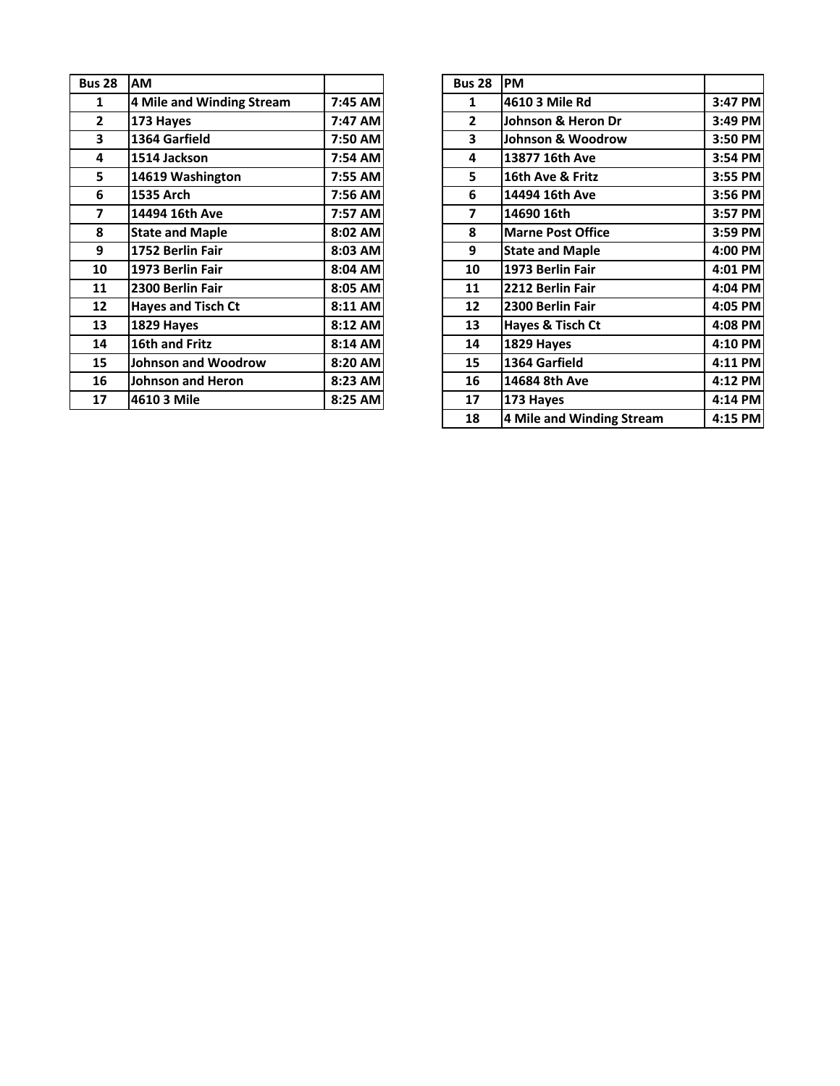| <b>Bus 28</b>  | <b>AM</b>                 |         | <b>Bus 28</b>           | <b>PM</b>  |
|----------------|---------------------------|---------|-------------------------|------------|
| 1              | 4 Mile and Winding Stream | 7:45 AM | 1                       | 461        |
| $\overline{2}$ | 173 Hayes                 | 7:47 AM | $\overline{2}$          | Joh        |
| 3              | 1364 Garfield             | 7:50 AM | 3                       | Joh        |
| 4              | 1514 Jackson              | 7:54 AM | 4                       | 138        |
| 5              | 14619 Washington          | 7:55 AM | 5                       | <b>16t</b> |
| 6              | 1535 Arch                 | 7:56 AM | 6                       | 144        |
| 7              | 14494 16th Ave            | 7:57 AM | $\overline{\mathbf{z}}$ | 146        |
| 8              | <b>State and Maple</b>    | 8:02 AM | 8                       | Ma         |
| 9              | 1752 Berlin Fair          | 8:03 AM | 9                       | <b>Sta</b> |
| 10             | 1973 Berlin Fair          | 8:04 AM | 10                      | 197        |
| 11             | 2300 Berlin Fair          | 8:05 AM | 11                      | 221        |
| 12             | <b>Hayes and Tisch Ct</b> | 8:11 AM | 12                      | 230        |
| 13             | 1829 Hayes                | 8:12 AM | 13                      | Hay        |
| 14             | 16th and Fritz            | 8:14 AM | 14                      | 182        |
| 15             | Johnson and Woodrow       | 8:20 AM | 15                      | 136        |
| 16             | <b>Johnson and Heron</b>  | 8:23 AM | 16                      | 146        |
| 17             | 4610 3 Mile               | 8:25 AM | 17                      | 173        |
|                |                           |         |                         |            |

| <b>S 28</b>             | <b>AM</b>                  |         | <b>Bus 28</b>  | <b>PM</b>                    |         |
|-------------------------|----------------------------|---------|----------------|------------------------------|---------|
| $\mathbf{1}$            | 4 Mile and Winding Stream  | 7:45 AM | 1              | 4610 3 Mile Rd               | 3:47 PM |
| $\overline{2}$          | 173 Hayes                  | 7:47 AM | $\overline{2}$ | Johnson & Heron Dr           | 3:49 PM |
| $\overline{\mathbf{3}}$ | 1364 Garfield              | 7:50 AM | 3              | <b>Johnson &amp; Woodrow</b> | 3:50 PM |
| $\overline{\mathbf{4}}$ | 1514 Jackson               | 7:54 AM | 4              | 13877 16th Ave               | 3:54 PM |
| 5                       | 14619 Washington           | 7:55 AM | 5.             | 16th Ave & Fritz             | 3:55 PM |
| $\boldsymbol{6}$        | 1535 Arch                  | 7:56 AM | 6              | 14494 16th Ave               | 3:56 PM |
| $\overline{\mathbf{z}}$ | 14494 16th Ave             | 7:57 AM | 7              | 14690 16th                   | 3:57 PM |
| $\pmb{8}$               | <b>State and Maple</b>     | 8:02 AM | 8              | <b>Marne Post Office</b>     | 3:59 PM |
| 9                       | 1752 Berlin Fair           | 8:03 AM | 9              | <b>State and Maple</b>       | 4:00 PM |
| 10                      | 1973 Berlin Fair           | 8:04 AM | 10             | 1973 Berlin Fair             | 4:01 PM |
| 11                      | 2300 Berlin Fair           | 8:05 AM | 11             | 2212 Berlin Fair             | 4:04 PM |
| 12                      | <b>Hayes and Tisch Ct</b>  | 8:11 AM | 12             | 2300 Berlin Fair             | 4:05 PM |
| 13                      | 1829 Hayes                 | 8:12 AM | 13             | Hayes & Tisch Ct             | 4:08 PM |
| 14                      | 16th and Fritz             | 8:14 AM | 14             | 1829 Hayes                   | 4:10 PM |
| 15                      | <b>Johnson and Woodrow</b> | 8:20 AM | 15             | 1364 Garfield                | 4:11 PM |
| 16                      | <b>Johnson and Heron</b>   | 8:23 AM | 16             | 14684 8th Ave                | 4:12 PM |
| 17                      | 4610 3 Mile                | 8:25 AM | 17             | 173 Hayes                    | 4:14 PM |
|                         |                            |         | 18             | 4 Mile and Winding Stream    | 4:15 PM |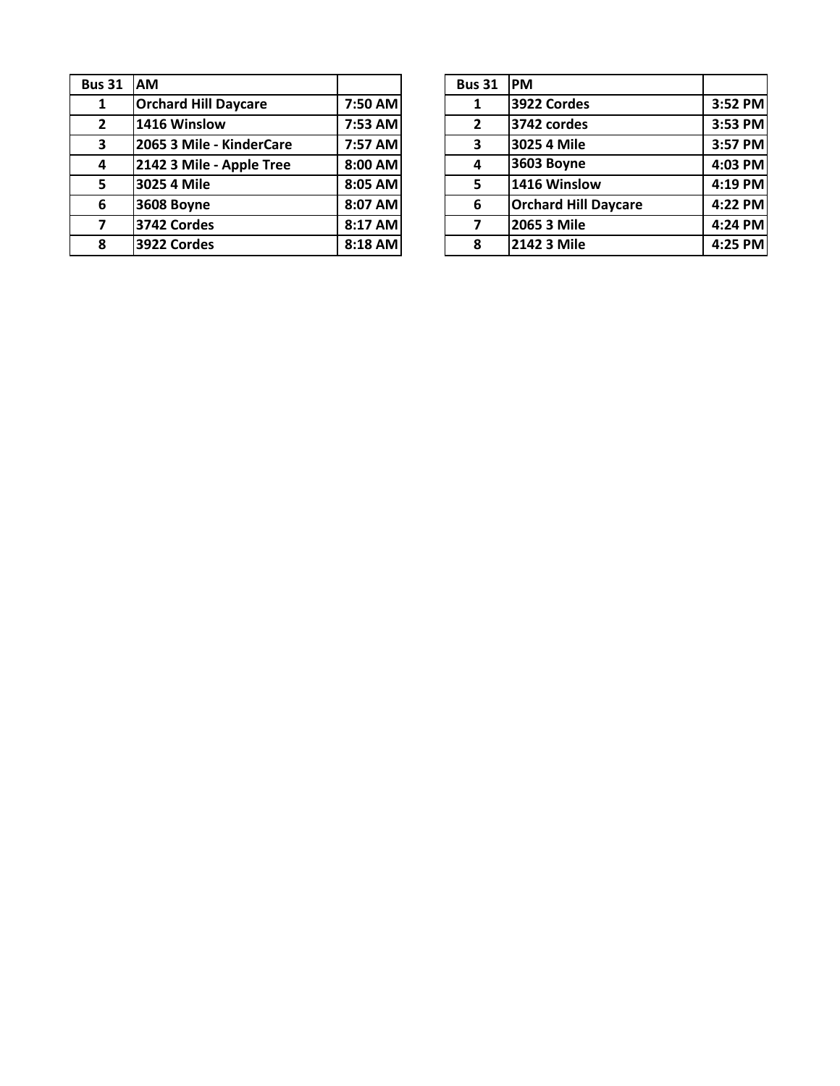| <b>Bus 31</b>  | AM                          |         | <b>Bus 31</b>  | <b>PM</b> |
|----------------|-----------------------------|---------|----------------|-----------|
| 1              | <b>Orchard Hill Daycare</b> | 7:50 AM | 1              | 392       |
| $\overline{2}$ | 1416 Winslow                | 7:53 AM | $\overline{2}$ | 374       |
| 3              | 2065 3 Mile - KinderCare    | 7:57 AM | 3              | 302       |
| 4              | 2142 3 Mile - Apple Tree    | 8:00 AM | 4              | 360       |
| 5              | 3025 4 Mile                 | 8:05 AM | 5              | 141       |
| 6              | 3608 Boyne                  | 8:07 AM | 6              | Orc       |
|                | 3742 Cordes                 | 8:17 AM | 7              | 206       |
| 8              | 3922 Cordes                 | 8:18 AM | 8              | 214       |

| s 31                    | <b>AM</b>                   |         | <b>Bus 31</b>  | <b>IPM</b>                  |           |
|-------------------------|-----------------------------|---------|----------------|-----------------------------|-----------|
| $\mathbf{1}$            | <b>Orchard Hill Daycare</b> | 7:50 AM |                | 3922 Cordes                 | 3:52 PM   |
| $\mathbf{z}$            | 1416 Winslow                | 7:53 AM | $\overline{2}$ | 3742 cordes                 | 3:53 PM   |
| $\overline{\mathbf{3}}$ | 2065 3 Mile - KinderCare    | 7:57 AM | 3              | 3025 4 Mile                 | 3:57 PM   |
| 4                       | 2142 3 Mile - Apple Tree    | 8:00 AM |                | 3603 Boyne                  | $4:03$ PM |
| 5                       | 3025 4 Mile                 | 8:05 AM | 5              | 1416 Winslow                | 4:19 PM   |
| 6                       | <b>3608 Boyne</b>           | 8:07 AM | 6              | <b>Orchard Hill Daycare</b> | $4:22$ PM |
| $\overline{7}$          | 3742 Cordes                 | 8:17 AM | 7              | 2065 3 Mile                 | $4:24$ PM |
| 8                       | 3922 Cordes                 | 8:18 AM | 8              | 2142 3 Mile                 | $4:25$ PM |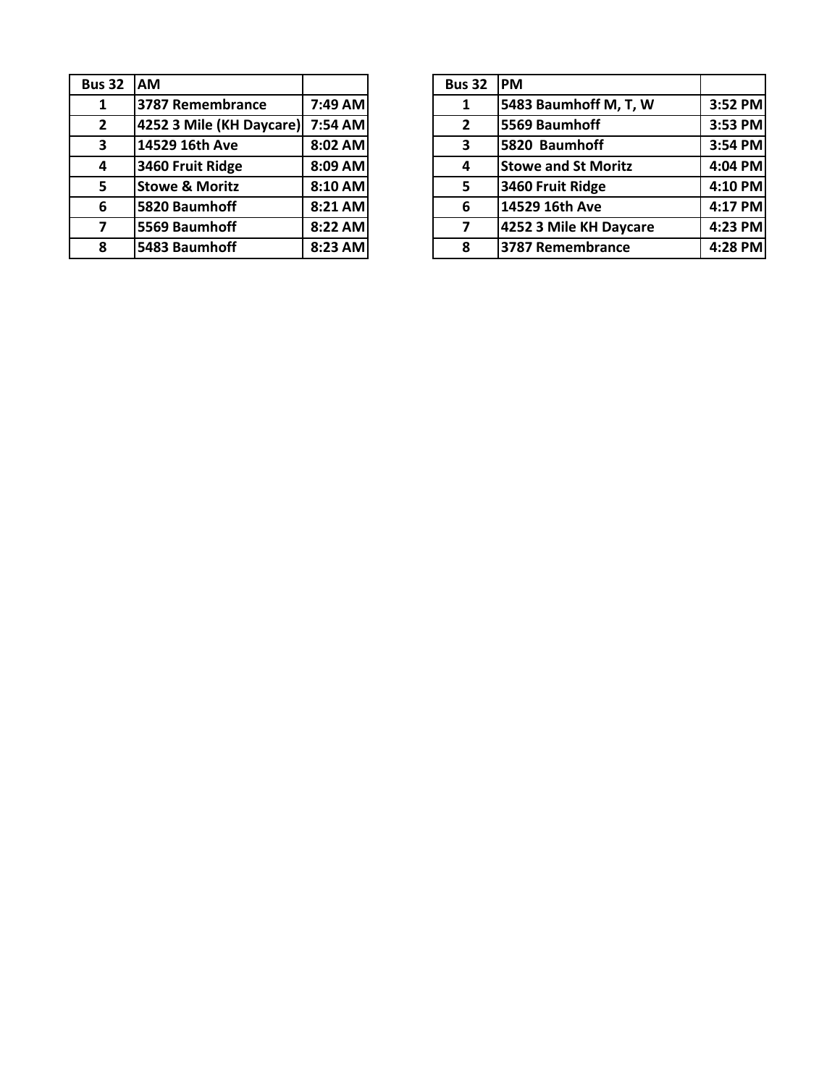| <b>Bus 32</b> | IAM.                      |         | <b>Bus 32</b>  | <b>PM</b>  |
|---------------|---------------------------|---------|----------------|------------|
| 1             | 3787 Remembrance          | 7:49 AM |                | 548        |
| $2^{\circ}$   | 4252 3 Mile (KH Daycare)  | 7:54 AM | $\overline{2}$ | 556        |
| 3             | 14529 16th Ave            | 8:02 AM | 3              | 582        |
| 4             | 3460 Fruit Ridge          | 8:09 AM | 4              | <b>Sto</b> |
| 5.            | <b>Stowe &amp; Moritz</b> | 8:10 AM | 5              | 346        |
| 6             | 5820 Baumhoff             | 8:21 AM | 6              | 145        |
| 7             | 5569 Baumhoff             | 8:22 AM | 7              | 425        |
| 8             | 5483 Baumhoff             | 8:23 AM | 8              | 378        |
|               |                           |         |                |            |

| <b>AM</b>                 |  | <b>Bus 32</b>                                                                                                 | <b>IPM</b>                 |         |
|---------------------------|--|---------------------------------------------------------------------------------------------------------------|----------------------------|---------|
| 3787 Remembrance          |  |                                                                                                               | 5483 Baumhoff M, T, W      | 3:52 PM |
|                           |  | $\overline{2}$                                                                                                | 5569 Baumhoff              | 3:53 PM |
| 14529 16th Ave            |  | 3                                                                                                             | 5820 Baumhoff              | 3:54 PM |
| 3460 Fruit Ridge          |  | 4                                                                                                             | <b>Stowe and St Moritz</b> | 4:04 PM |
| <b>Stowe &amp; Moritz</b> |  | 5                                                                                                             | 3460 Fruit Ridge           | 4:10 PM |
| 5820 Baumhoff             |  | 6                                                                                                             | 14529 16th Ave             | 4:17 PM |
| 5569 Baumhoff             |  |                                                                                                               | 4252 3 Mile KH Daycare     | 4:23 PM |
| 5483 Baumhoff             |  | 8                                                                                                             | 3787 Remembrance           | 4:28 PM |
|                           |  | 7:49 AM<br>4252 3 Mile (KH Daycare) 7:54 AM<br>8:02 AM<br>8:09 AM<br>8:10 AM<br>8:21 AM<br>8:22 AM<br>8:23 AM |                            |         |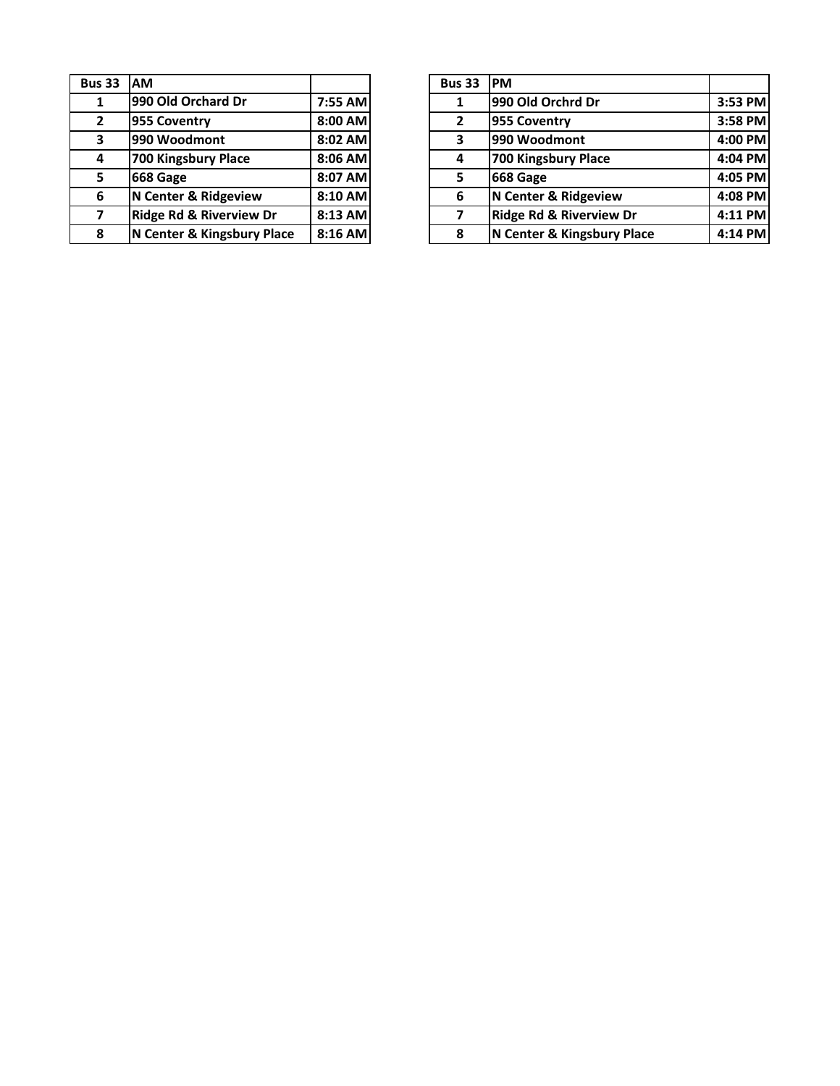| <b>Bus 33</b>  | <b>AM</b>                          |         | <b>Bus 33</b>  | <b>PM</b>      |
|----------------|------------------------------------|---------|----------------|----------------|
| 1              | 990 Old Orchard Dr                 | 7:55 AM | 1              | 990            |
| $\overline{2}$ | 955 Coventry                       | 8:00 AM | $\overline{2}$ | 955            |
| 3              | 990 Woodmont                       | 8:02 AM | 3              | 990            |
| 4              | 700 Kingsbury Place                | 8:06 AM | 4              | <b>700</b>     |
| 5              | 668 Gage                           | 8:07 AM | 5              | 668            |
| 6              | N Center & Ridgeview               | 8:10 AM | 6              | N <sub>C</sub> |
| 7              | <b>Ridge Rd &amp; Riverview Dr</b> | 8:13 AM | 7              | <b>Rid</b>     |
| 8              | N Center & Kingsbury Place         | 8:16 AM | 8              | N <sub>C</sub> |

| s 33           | <b>IAM</b>                         |         | <b>Bus 33</b> | <b>IPM</b>                         |         |
|----------------|------------------------------------|---------|---------------|------------------------------------|---------|
| $\mathbf{1}$   | 990 Old Orchard Dr                 | 7:55 AM |               | 990 Old Orchrd Dr                  | 3:53 PM |
| $\mathbf{z}$   | 955 Coventry                       | 8:00 AM | 2             | 955 Coventry                       | 3:58 PM |
| 3              | 990 Woodmont                       | 8:02 AM | 3             | 990 Woodmont                       | 4:00 PM |
| 4              | 700 Kingsbury Place                | 8:06 AM | 4             | 700 Kingsbury Place                | 4:04 PM |
| 5              | 668 Gage                           | 8:07 AM | 5             | 668 Gage                           | 4:05 PM |
| 6              | N Center & Ridgeview               | 8:10 AM | 6             | N Center & Ridgeview               | 4:08 PM |
| $\overline{ }$ | <b>Ridge Rd &amp; Riverview Dr</b> | 8:13 AM | 7             | <b>Ridge Rd &amp; Riverview Dr</b> | 4:11 PM |
| 8              | N Center & Kingsbury Place         | 8:16 AM | 8             | N Center & Kingsbury Place         | 4:14 PM |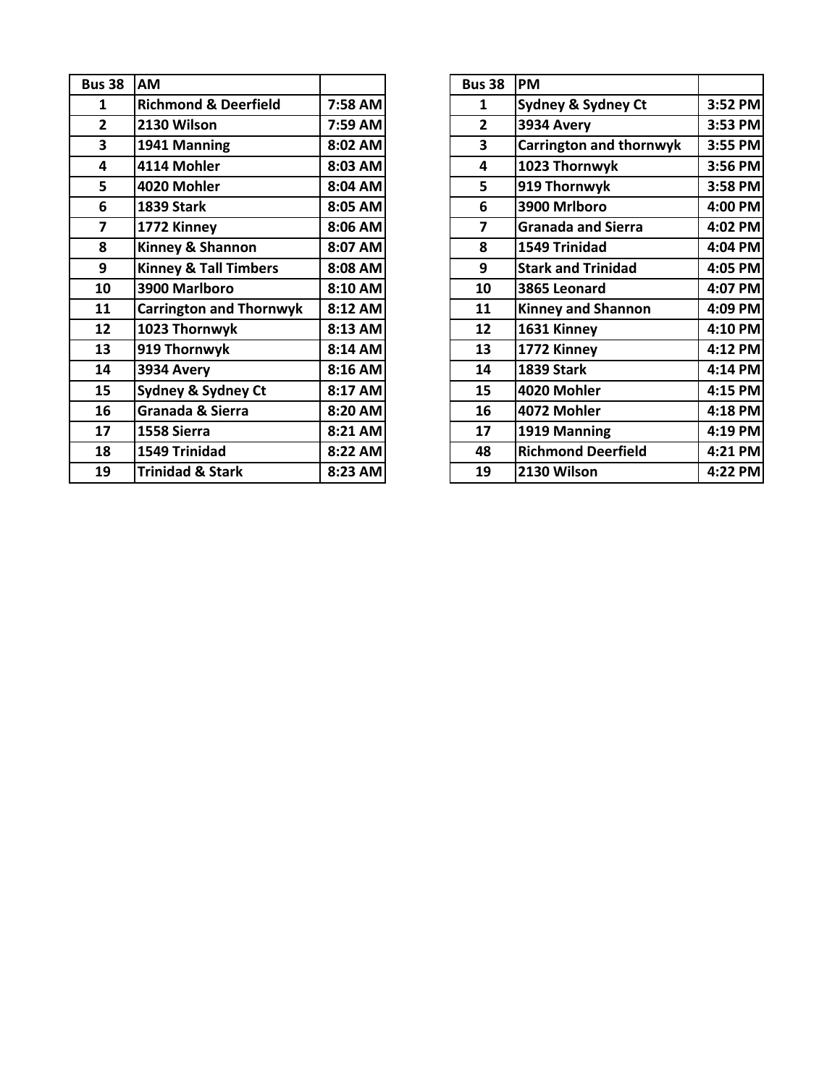| <b>Bus 38</b>           | AM                               |         | <b>Bus 38</b> | <b>PM</b>  |
|-------------------------|----------------------------------|---------|---------------|------------|
| 1                       | <b>Richmond &amp; Deerfield</b>  | 7:58 AM | 1             | Syd        |
| $\mathbf{2}$            | 2130 Wilson                      | 7:59 AM | $\mathbf{2}$  | 393        |
| $\overline{\mathbf{3}}$ | 1941 Manning                     | 8:02 AM | 3             | Car        |
| 4                       | 4114 Mohler                      | 8:03 AM | 4             | 102        |
| 5                       | 4020 Mohler                      | 8:04 AM | 5             | 919        |
| 6                       | <b>1839 Stark</b>                | 8:05 AM | 6             | 390        |
| 7                       | 1772 Kinney                      | 8:06 AM | 7             | Gra        |
| 8                       | Kinney & Shannon                 | 8:07 AM | 8             | 154        |
| 9                       | <b>Kinney &amp; Tall Timbers</b> | 8:08 AM | 9             | <b>Sta</b> |
| 10                      | 3900 Marlboro                    | 8:10 AM | 10            | 386        |
| 11                      | <b>Carrington and Thornwyk</b>   | 8:12 AM | 11            | Kin        |
| 12                      | 1023 Thornwyk                    | 8:13 AM | 12            | 163        |
| 13                      | 919 Thornwyk                     | 8:14 AM | 13            | 177        |
| 14                      | 3934 Avery                       | 8:16 AM | 14            | 183        |
| 15                      | Sydney & Sydney Ct               | 8:17 AM | 15            | 402        |
| 16                      | Granada & Sierra                 | 8:20 AM | 16            | 407        |
| 17                      | 1558 Sierra                      | 8:21 AM | 17            | 191        |
| 18                      | 1549 Trinidad                    | 8:22 AM | 48            | Ricl       |
| 19                      | <b>Trinidad &amp; Stark</b>      | 8:23 AM | 19            | 213        |

| <b>us 38</b>            | <b>AM</b>                        |         | <b>Bus 38</b> | <b>PM</b>                     |           |
|-------------------------|----------------------------------|---------|---------------|-------------------------------|-----------|
| $\mathbf{1}$            | <b>Richmond &amp; Deerfield</b>  | 7:58 AM | 1             | <b>Sydney &amp; Sydney Ct</b> | 3:52 PM   |
| $\overline{2}$          | 2130 Wilson                      | 7:59 AM | $\mathbf{2}$  | 3934 Avery                    | 3:53 PM   |
| $\overline{\mathbf{3}}$ | 1941 Manning                     | 8:02 AM | 3             | Carrington and thornwyk       | 3:55 PM   |
| $\overline{\mathbf{4}}$ | 4114 Mohler                      | 8:03 AM | 4             | 1023 Thornwyk                 | 3:56 PM   |
| 5                       | 4020 Mohler                      | 8:04 AM | 5             | 919 Thornwyk                  | 3:58 PM   |
| $\boldsymbol{6}$        | <b>1839 Stark</b>                | 8:05 AM | 6             | 3900 Mrlboro                  | 4:00 PM   |
| $\overline{\mathbf{z}}$ | 1772 Kinney                      | 8:06 AM | 7             | <b>Granada and Sierra</b>     | 4:02 PM   |
| 8                       | Kinney & Shannon                 | 8:07 AM | 8             | 1549 Trinidad                 | 4:04 PM   |
| 9                       | <b>Kinney &amp; Tall Timbers</b> | 8:08 AM | 9             | <b>Stark and Trinidad</b>     | 4:05 PM   |
| 10                      | 3900 Marlboro                    | 8:10 AM | 10            | 3865 Leonard                  | 4:07 PM   |
| 11                      | <b>Carrington and Thornwyk</b>   | 8:12 AM | 11            | <b>Kinney and Shannon</b>     | 4:09 PM   |
| 12                      | 1023 Thornwyk                    | 8:13 AM | 12            | 1631 Kinney                   | 4:10 PM   |
| 13                      | 919 Thornwyk                     | 8:14 AM | 13            | 1772 Kinney                   | 4:12 PM   |
| 14                      | 3934 Avery                       | 8:16 AM | 14            | <b>1839 Stark</b>             | 4:14 PM   |
| 15                      | <b>Sydney &amp; Sydney Ct</b>    | 8:17 AM | 15            | 4020 Mohler                   | 4:15 PM   |
| 16                      | Granada & Sierra                 | 8:20 AM | 16            | 4072 Mohler                   | $4:18$ PM |
| 17                      | 1558 Sierra                      | 8:21 AM | 17            | 1919 Manning                  | 4:19 PM   |
| 18                      | 1549 Trinidad                    | 8:22 AM | 48            | <b>Richmond Deerfield</b>     | 4:21 PM   |
| 19                      | <b>Trinidad &amp; Stark</b>      | 8:23 AM | 19            | 2130 Wilson                   | 4:22 PM   |